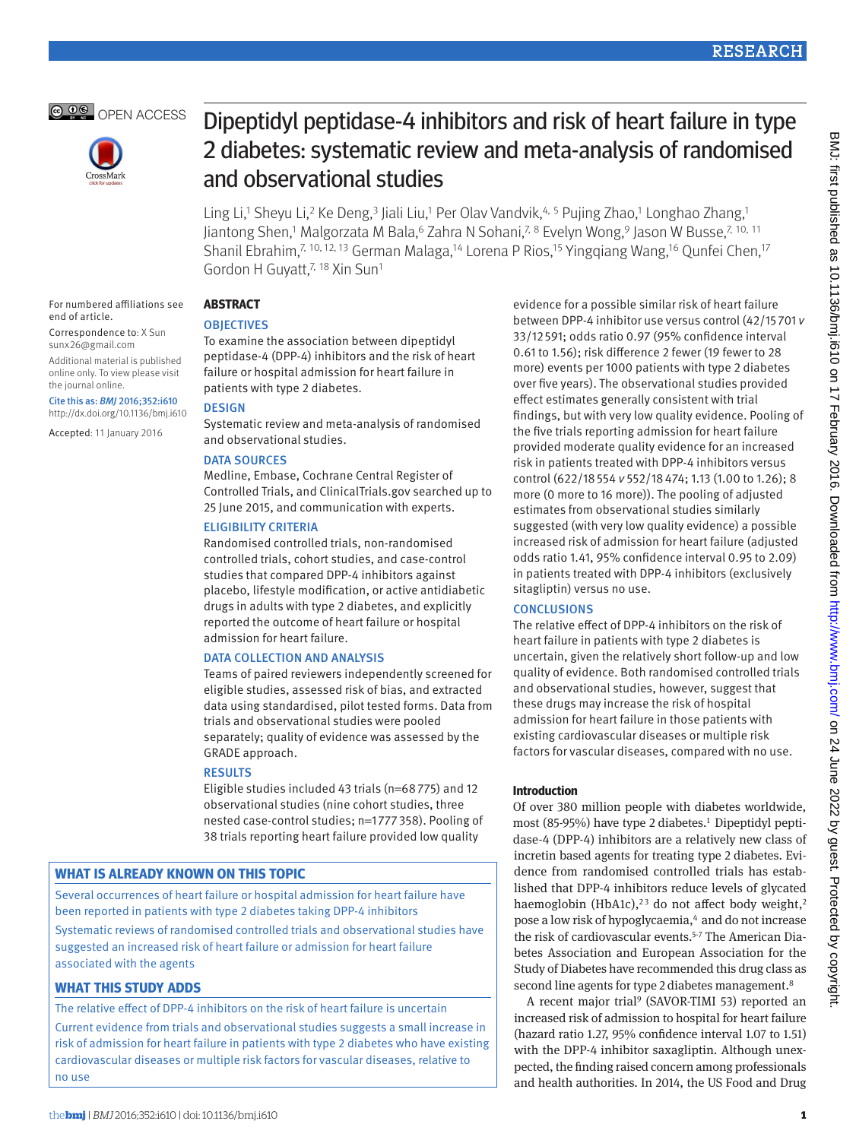# **C OC** OPEN ACCESS



# Dipeptidyl peptidase-4 inhibitors and risk of heart failure in type 2 diabetes: systematic review and meta-analysis of randomised and observational studies

Ling Li,<sup>1</sup> Sheyu Li,<sup>2</sup> Ke Deng,<sup>3</sup> Jiali Liu,<sup>1</sup> Per Olav Vandvik,<sup>4, 5</sup> Pujing Zhao,<sup>1</sup> Longhao Zhang,<sup>1</sup> Jiantong Shen,<sup>1</sup> Malgorzata M Bala,<sup>6</sup> Zahra N Sohani,<sup>7, 8</sup> Evelyn Wong,<sup>9</sup> Jason W Busse,<sup>7, 10, 11</sup> Shanil Ebrahim,<sup>7, 10, 12, 13</sup> German Malaga,<sup>14</sup> Lorena P Rios,<sup>15</sup> Yingqiang Wang,<sup>16</sup> Qunfei Chen,<sup>17</sup> Gordon H Guyatt,<sup>7, 18</sup> Xin Sun<sup>1</sup>

#### For numbered affiliations see end of article.

Correspondence to: X Sun sunx26@gmail.com

Additional material is published online only. To view please visit the journal online.

Cite this as: *BMJ* 2016;352:i610 http://dx.doi.org/10.1136/bmj.i610

Accepted: 11 January 2016

# **ABSTRACT**

# **OBJECTIVES**

To examine the association between dipeptidyl peptidase-4 (DPP-4) inhibitors and the risk of heart failure or hospital admission for heart failure in patients with type 2 diabetes.

# **DESIGN**

Systematic review and meta-analysis of randomised and observational studies.

# DATA SOURCES

Medline, Embase, Cochrane Central Register of Controlled Trials, and ClinicalTrials.gov searched up to 25 June 2015, and communication with experts.

# Eligibility criteria

Randomised controlled trials, non-randomised controlled trials, cohort studies, and case-control studies that compared DPP-4 inhibitors against placebo, lifestyle modification, or active antidiabetic drugs in adults with type 2 diabetes, and explicitly reported the outcome of heart failure or hospital admission for heart failure.

# DATA COLLECTION AND ANALYSIS

Teams of paired reviewers independently screened for eligible studies, assessed risk of bias, and extracted data using standardised, pilot tested forms. Data from trials and observational studies were pooled separately; quality of evidence was assessed by the GRADE approach.

# **RESULTS**

Eligible studies included 43 trials (n=68775) and 12 observational studies (nine cohort studies, three nested case-control studies; n=1777358). Pooling of 38 trials reporting heart failure provided low quality

# **What is already known on this topic**

Several occurrences of heart failure or hospital admission for heart failure have been reported in patients with type 2 diabetes taking DPP-4 inhibitors Systematic reviews of randomised controlled trials and observational studies have suggested an increased risk of heart failure or admission for heart failure associated with the agents

# **What this study adds**

The relative effect of DPP-4 inhibitors on the risk of heart failure is uncertain Current evidence from trials and observational studies suggests a small increase in risk of admission for heart failure in patients with type 2 diabetes who have existing cardiovascular diseases or multiple risk factors for vascular diseases, relative to no use

evidence for a possible similar risk of heart failure between DPP-4 inhibitor use versus control (42/15701 *v* 33/12591; odds ratio 0.97 (95% confidence interval 0.61 to 1.56); risk difference 2 fewer (19 fewer to 28 more) events per 1000 patients with type 2 diabetes over five years). The observational studies provided effect estimates generally consistent with trial findings, but with very low quality evidence. Pooling of the five trials reporting admission for heart failure provided moderate quality evidence for an increased risk in patients treated with DPP-4 inhibitors versus control (622/18554 *v* 552/18474; 1.13 (1.00 to 1.26); 8 more (0 more to 16 more)). The pooling of adjusted estimates from observational studies similarly suggested (with very low quality evidence) a possible increased risk of admission for heart failure (adjusted odds ratio 1.41, 95% confidence interval 0.95 to 2.09) in patients treated with DPP-4 inhibitors (exclusively sitagliptin) versus no use.

# **CONCLUSIONS**

The relative effect of DPP-4 inhibitors on the risk of heart failure in patients with type 2 diabetes is uncertain, given the relatively short follow-up and low quality of evidence. Both randomised controlled trials and observational studies, however, suggest that these drugs may increase the risk of hospital admission for heart failure in those patients with existing cardiovascular diseases or multiple risk factors for vascular diseases, compared with no use.

# **Introduction**

Of over 380 million people with diabetes worldwide, most (85-95%) have type 2 diabetes.<sup>1</sup> Dipeptidyl peptidase-4 (DPP-4) inhibitors are a relatively new class of incretin based agents for treating type 2 diabetes. Evidence from randomised controlled trials has established that DPP-4 inhibitors reduce levels of glycated haemoglobin (HbA1c),<sup>23</sup> do not affect body weight,<sup>2</sup> pose a low risk of hypoglycaemia,<sup>4</sup> and do not increase the risk of cardiovascular events.5-7 The American Diabetes Association and European Association for the Study of Diabetes have recommended this drug class as second line agents for type 2 diabetes management.<sup>8</sup>

A recent major trial<sup>9</sup> (SAVOR-TIMI 53) reported an increased risk of admission to hospital for heart failure (hazard ratio 1.27, 95% confidence interval 1.07 to 1.51) with the DPP-4 inhibitor saxagliptin. Although unexpected, the finding raised concern among professionals and health authorities. In 2014, the US Food and Drug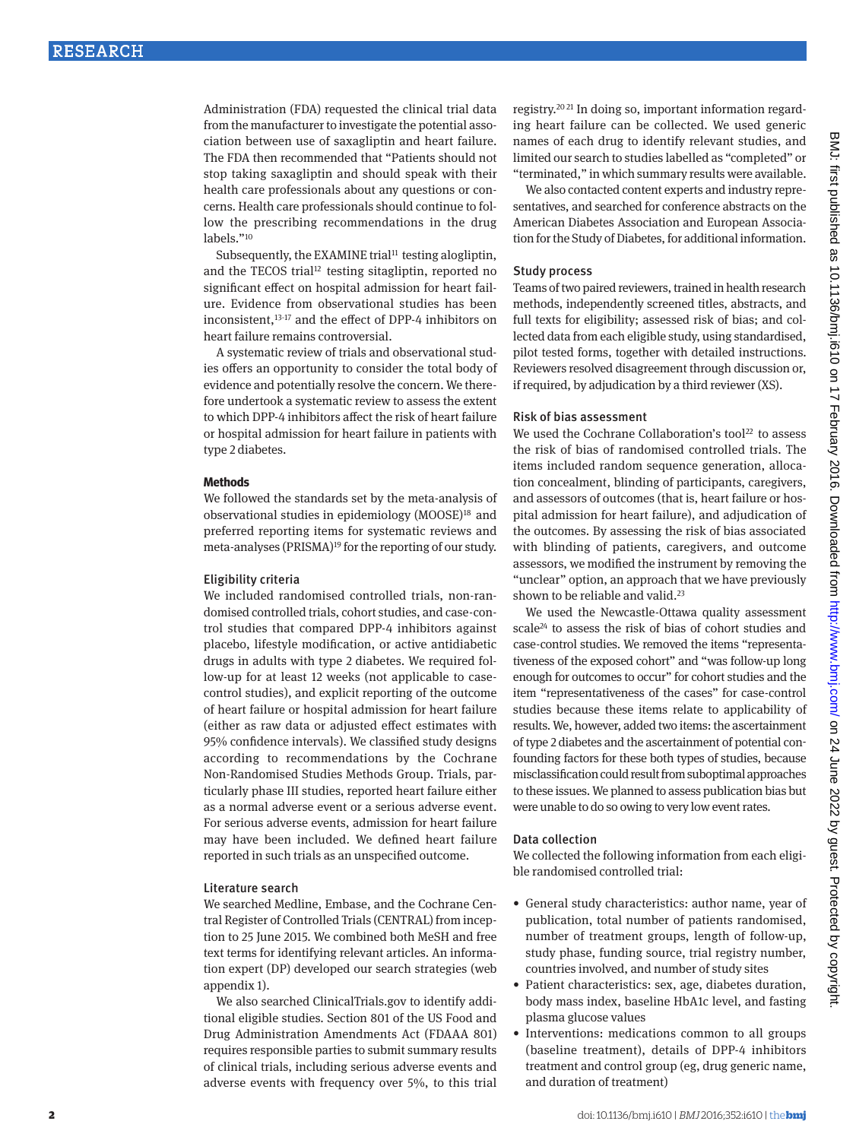Administration (FDA) requested the clinical trial data from the manufacturer to investigate the potential association between use of saxagliptin and heart failure. The FDA then recommended that "Patients should not stop taking saxagliptin and should speak with their health care professionals about any questions or concerns. Health care professionals should continue to follow the prescribing recommendations in the drug labels."10

Subsequently, the EXAMINE trial<sup>11</sup> testing alogliptin, and the TECOS trial<sup>12</sup> testing sitagliptin, reported no significant effect on hospital admission for heart failure. Evidence from observational studies has been inconsistent,13-17 and the effect of DPP-4 inhibitors on heart failure remains controversial.

A systematic review of trials and observational studies offers an opportunity to consider the total body of evidence and potentially resolve the concern. We therefore undertook a systematic review to assess the extent to which DPP-4 inhibitors affect the risk of heart failure or hospital admission for heart failure in patients with type 2 diabetes.

#### **Methods**

We followed the standards set by the meta-analysis of observational studies in epidemiology (MOOSE)<sup>18</sup> and preferred reporting items for systematic reviews and meta-analyses (PRISMA)<sup>19</sup> for the reporting of our study.

#### Eligibility criteria

We included randomised controlled trials, non-randomised controlled trials, cohort studies, and case-control studies that compared DPP-4 inhibitors against placebo, lifestyle modification, or active antidiabetic drugs in adults with type 2 diabetes. We required follow-up for at least 12 weeks (not applicable to casecontrol studies), and explicit reporting of the outcome of heart failure or hospital admission for heart failure (either as raw data or adjusted effect estimates with 95% confidence intervals). We classified study designs according to recommendations by the Cochrane Non-Randomised Studies Methods Group. Trials, particularly phase III studies, reported heart failure either as a normal adverse event or a serious adverse event. For serious adverse events, admission for heart failure may have been included. We defined heart failure reported in such trials as an unspecified outcome.

#### Literature search

We searched Medline, Embase, and the Cochrane Central Register of Controlled Trials (CENTRAL) from inception to 25 June 2015. We combined both MeSH and free text terms for identifying relevant articles. An information expert (DP) developed our search strategies (web appendix 1).

We also searched ClinicalTrials.gov to identify additional eligible studies. Section 801 of the US Food and Drug Administration Amendments Act (FDAAA 801) requires responsible parties to submit summary results of clinical trials, including serious adverse events and adverse events with frequency over 5%, to this trial registry.20 21 In doing so, important information regarding heart failure can be collected. We used generic names of each drug to identify relevant studies, and limited our search to studies labelled as "completed" or "terminated," in which summary results were available.

We also contacted content experts and industry representatives, and searched for conference abstracts on the American Diabetes Association and European Association for the Study of Diabetes, for additional information.

#### Study process

Teams of two paired reviewers, trained in health research methods, independently screened titles, abstracts, and full texts for eligibility; assessed risk of bias; and collected data from each eligible study, using standardised, pilot tested forms, together with detailed instructions. Reviewers resolved disagreement through discussion or, if required, by adjudication by a third reviewer (XS).

#### Risk of bias assessment

We used the Cochrane Collaboration's tool<sup>22</sup> to assess the risk of bias of randomised controlled trials. The items included random sequence generation, allocation concealment, blinding of participants, caregivers, and assessors of outcomes (that is, heart failure or hospital admission for heart failure), and adjudication of the outcomes. By assessing the risk of bias associated with blinding of patients, caregivers, and outcome assessors, we modified the instrument by removing the "unclear" option, an approach that we have previously shown to be reliable and valid.<sup>23</sup>

We used the Newcastle-Ottawa quality assessment scale<sup>24</sup> to assess the risk of bias of cohort studies and case-control studies. We removed the items "representativeness of the exposed cohort" and "was follow-up long enough for outcomes to occur" for cohort studies and the item "representativeness of the cases" for case-control studies because these items relate to applicability of results. We, however, added two items: the ascertainment of type 2 diabetes and the ascertainment of potential confounding factors for these both types of studies, because misclassification could result from suboptimal approaches to these issues. We planned to assess publication bias but were unable to do so owing to very low event rates.

#### Data collection

We collected the following information from each eligible randomised controlled trial:

- • General study characteristics: author name, year of publication, total number of patients randomised, number of treatment groups, length of follow-up, study phase, funding source, trial registry number, countries involved, and number of study sites
- • Patient characteristics: sex, age, diabetes duration, body mass index, baseline HbA1c level, and fasting plasma glucose values
- Interventions: medications common to all groups (baseline treatment), details of DPP-4 inhibitors treatment and control group (eg, drug generic name, and duration of treatment)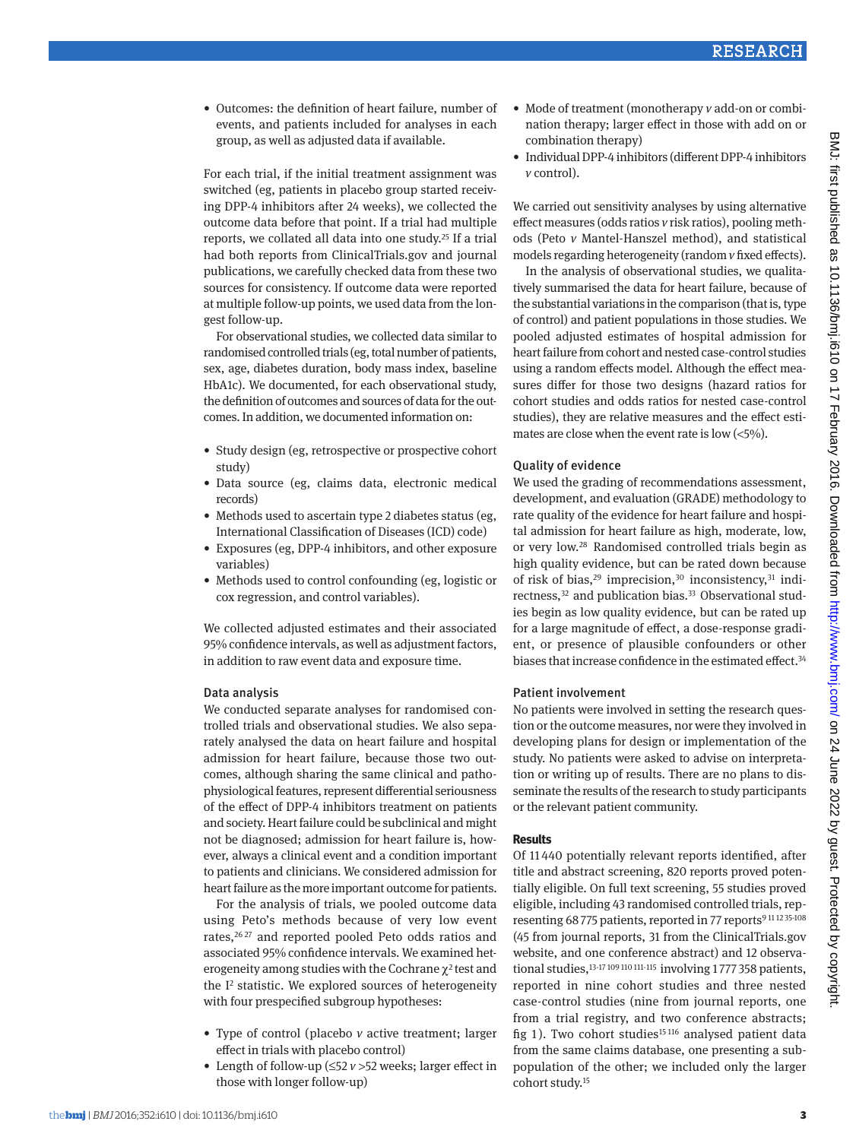• Outcomes: the definition of heart failure, number of events, and patients included for analyses in each group, as well as adjusted data if available.

For each trial, if the initial treatment assignment was switched (eg, patients in placebo group started receiving DPP-4 inhibitors after 24 weeks), we collected the outcome data before that point. If a trial had multiple reports, we collated all data into one study.25 If a trial had both reports from ClinicalTrials.gov and journal publications, we carefully checked data from these two sources for consistency. If outcome data were reported at multiple follow-up points, we used data from the longest follow-up.

For observational studies, we collected data similar to randomised controlled trials (eg, total number of patients, sex, age, diabetes duration, body mass index, baseline HbA1c). We documented, for each observational study, the definition of outcomes and sources of data for the outcomes. In addition, we documented information on:

- • Study design (eg, retrospective or prospective cohort study)
- • Data source (eg, claims data, electronic medical records)
- Methods used to ascertain type 2 diabetes status (eg, International Classification of Diseases (ICD) code)
- • Exposures (eg, DPP-4 inhibitors, and other exposure variables)
- • Methods used to control confounding (eg, logistic or cox regression, and control variables).

We collected adjusted estimates and their associated 95% confidence intervals, as well as adjustment factors, in addition to raw event data and exposure time.

#### Data analysis

We conducted separate analyses for randomised controlled trials and observational studies. We also separately analysed the data on heart failure and hospital admission for heart failure, because those two outcomes, although sharing the same clinical and pathophysiological features, represent differential seriousness of the effect of DPP-4 inhibitors treatment on patients and society. Heart failure could be subclinical and might not be diagnosed; admission for heart failure is, however, always a clinical event and a condition important to patients and clinicians. We considered admission for heart failure as the more important outcome for patients.

For the analysis of trials, we pooled outcome data using Peto's methods because of very low event rates,<sup>26,27</sup> and reported pooled Peto odds ratios and associated 95% confidence intervals. We examined heterogeneity among studies with the Cochrane  $\chi^2$  test and the I<sup>2</sup> statistic. We explored sources of heterogeneity with four prespecified subgroup hypotheses:

- Type of control (placebo *v* active treatment; larger effect in trials with placebo control)
- • Length of follow-up (≤52 *v* >52 weeks; larger effect in those with longer follow-up)
- Mode of treatment (monotherapy *v* add-on or combination therapy; larger effect in those with add on or combination therapy)
- • Individual DPP-4 inhibitors (different DPP-4 inhibitors *v* control).

We carried out sensitivity analyses by using alternative effect measures (odds ratios *v* risk ratios), pooling methods (Peto *v* Mantel-Hanszel method), and statistical models regarding heterogeneity (random *v* fixed effects).

In the analysis of observational studies, we qualitatively summarised the data for heart failure, because of the substantial variations in the comparison (that is, type of control) and patient populations in those studies. We pooled adjusted estimates of hospital admission for heart failure from cohort and nested case-control studies using a random effects model. Although the effect measures differ for those two designs (hazard ratios for cohort studies and odds ratios for nested case-control studies), they are relative measures and the effect estimates are close when the event rate is low  $(<5\%)$ .

# Quality of evidence

We used the grading of recommendations assessment, development, and evaluation (GRADE) methodology to rate quality of the evidence for heart failure and hospital admission for heart failure as high, moderate, low, or very low.28 Randomised controlled trials begin as high quality evidence, but can be rated down because of risk of bias, $29$  imprecision, $30$  inconsistency, $31$  indirectness,<sup>32</sup> and publication bias.<sup>33</sup> Observational studies begin as low quality evidence, but can be rated up for a large magnitude of effect, a dose-response gradient, or presence of plausible confounders or other biases that increase confidence in the estimated effect.<sup>34</sup>

#### Patient involvement

No patients were involved in setting the research question or the outcome measures, nor were they involved in developing plans for design or implementation of the study. No patients were asked to advise on interpretation or writing up of results. There are no plans to disseminate the results of the research to study participants or the relevant patient community.

#### **Results**

Of 11 440 potentially relevant reports identified, after title and abstract screening, 820 reports proved potentially eligible. On full text screening, 55 studies proved eligible, including 43 randomised controlled trials, representing 68775 patients, reported in 77 reports<sup>9111235-108</sup> (45 from journal reports, 31 from the ClinicalTrials.gov website, and one conference abstract) and 12 observational studies,<sup>13-17 109 110 111-115</sup> involving 1777 358 patients, reported in nine cohort studies and three nested case-control studies (nine from journal reports, one from a trial registry, and two conference abstracts; fig 1). Two cohort studies<sup>15 116</sup> analysed patient data from the same claims database, one presenting a subpopulation of the other; we included only the larger cohort study.15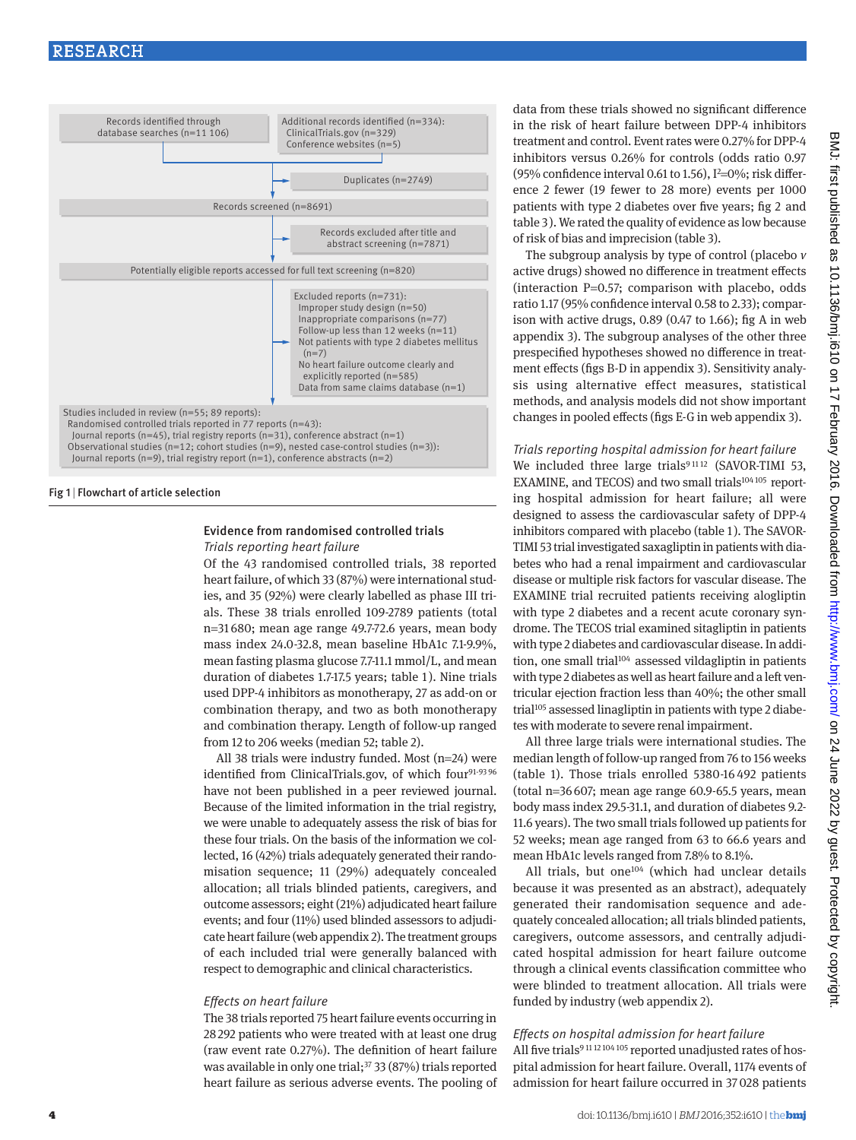

#### Fig 1 | Flowchart of article selection

#### Evidence from randomised controlled trials *Trials reporting heart failure*

Of the 43 randomised controlled trials, 38 reported heart failure, of which 33 (87%) were international studies, and 35 (92%) were clearly labelled as phase III trials. These 38 trials enrolled 109-2789 patients (total n=31 680; mean age range 49.7-72.6 years, mean body mass index 24.0-32.8, mean baseline HbA1c 7.1-9.9%, mean fasting plasma glucose 7.7-11.1 mmol/L, and mean duration of diabetes 1.7-17.5 years; table 1). Nine trials used DPP-4 inhibitors as monotherapy, 27 as add-on or combination therapy, and two as both monotherapy and combination therapy. Length of follow-up ranged from 12 to 206 weeks (median 52; table 2).

All 38 trials were industry funded. Most (n=24) were identified from ClinicalTrials.gov, of which four<sup>91-93 96</sup> have not been published in a peer reviewed journal. Because of the limited information in the trial registry, we were unable to adequately assess the risk of bias for these four trials. On the basis of the information we collected, 16 (42%) trials adequately generated their randomisation sequence; 11 (29%) adequately concealed allocation; all trials blinded patients, caregivers, and outcome assessors; eight (21%) adjudicated heart failure events; and four (11%) used blinded assessors to adjudicate heart failure (web appendix 2). The treatment groups of each included trial were generally balanced with respect to demographic and clinical characteristics.

#### *Effects on heart failure*

The 38 trials reported 75 heart failure events occurring in 28292 patients who were treated with at least one drug (raw event rate 0.27%). The definition of heart failure was available in only one trial;<sup>37</sup> 33 (87%) trials reported heart failure as serious adverse events. The pooling of data from these trials showed no significant difference in the risk of heart failure between DPP-4 inhibitors treatment and control. Event rates were 0.27% for DPP-4 inhibitors versus 0.26% for controls (odds ratio 0.97 (95% confidence interval 0.61 to 1.56),  $I^2=0\%$ ; risk difference 2 fewer (19 fewer to 28 more) events per 1000 patients with type 2 diabetes over five years; fig 2 and table 3). We rated the quality of evidence as low because of risk of bias and imprecision (table 3).

The subgroup analysis by type of control (placebo *v* active drugs) showed no difference in treatment effects (interaction P=0.57; comparison with placebo, odds ratio 1.17 (95% confidence interval 0.58 to 2.33); comparison with active drugs, 0.89 (0.47 to 1.66); fig A in web appendix 3). The subgroup analyses of the other three prespecified hypotheses showed no difference in treatment effects (figs B-D in appendix 3). Sensitivity analysis using alternative effect measures, statistical methods, and analysis models did not show important changes in pooled effects (figs E-G in web appendix 3).

*Trials reporting hospital admission for heart failure* We included three large trials<sup>91112</sup> (SAVOR-TIMI 53, EXAMINE, and TECOS) and two small trials<sup>104 105</sup> reporting hospital admission for heart failure; all were designed to assess the cardiovascular safety of DPP-4 inhibitors compared with placebo (table 1). The SAVOR-TIMI 53 trial investigated saxagliptin in patients with diabetes who had a renal impairment and cardiovascular disease or multiple risk factors for vascular disease. The EXAMINE trial recruited patients receiving alogliptin with type 2 diabetes and a recent acute coronary syndrome. The TECOS trial examined sitagliptin in patients with type 2 diabetes and cardiovascular disease. In addition, one small trial<sup>104</sup> assessed vildagliptin in patients with type 2 diabetes as well as heart failure and a left ventricular ejection fraction less than 40%; the other small trial105 assessed linagliptin in patients with type 2 diabetes with moderate to severe renal impairment.

All three large trials were international studies. The median length of follow-up ranged from 76 to 156 weeks (table 1). Those trials enrolled 5380-16 492 patients (total n=36607; mean age range 60.9-65.5 years, mean body mass index 29.5-31.1, and duration of diabetes 9.2- 11.6 years). The two small trials followed up patients for 52 weeks; mean age ranged from 63 to 66.6 years and mean HbA1c levels ranged from 7.8% to 8.1%.

All trials, but one<sup>104</sup> (which had unclear details because it was presented as an abstract), adequately generated their randomisation sequence and adequately concealed allocation; all trials blinded patients, caregivers, outcome assessors, and centrally adjudicated hospital admission for heart failure outcome through a clinical events classification committee who were blinded to treatment allocation. All trials were funded by industry (web appendix 2).

# *Effects on hospital admission for heart failure*

All five trials<sup>911 12 104 105</sup> reported unadjusted rates of hospital admission for heart failure. Overall, 1174 events of admission for heart failure occurred in 37028 patients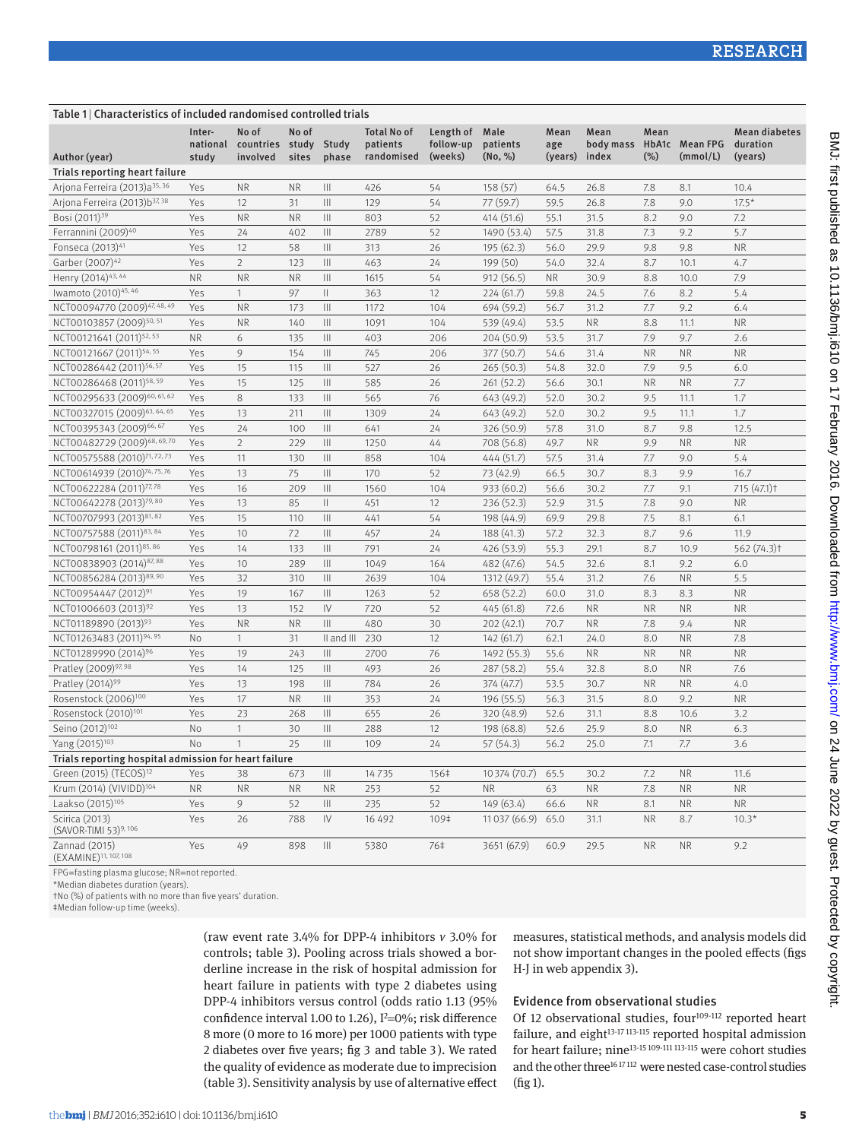| Table 1   Characteristics of included randomised controlled trials |                 |                                                     |                |                                       |                                              |                                   |                                |                        |                                           |                |           |                                             |
|--------------------------------------------------------------------|-----------------|-----------------------------------------------------|----------------|---------------------------------------|----------------------------------------------|-----------------------------------|--------------------------------|------------------------|-------------------------------------------|----------------|-----------|---------------------------------------------|
| Author (year)                                                      | Inter-<br>study | No of<br>national countries study Study<br>involved | No of<br>sites | phase                                 | <b>Total No of</b><br>patients<br>randomised | Length of<br>follow-up<br>(weeks) | Male<br>patients<br>$(N_0, %)$ | Mean<br>age<br>(years) | Mean<br>body mass HbA1c Mean FPG<br>index | Mean<br>$(\%)$ | (mmol/L)  | <b>Mean diabetes</b><br>duration<br>(years) |
| Trials reporting heart failure                                     |                 |                                                     |                |                                       |                                              |                                   |                                |                        |                                           |                |           |                                             |
| Arjona Ferreira (2013) a <sup>35, 36</sup>                         | Yes             | <b>NR</b>                                           | <b>NR</b>      | $\mathbf{III}$                        | 426                                          | 54                                | 158 (57)                       | 64.5                   | 26.8                                      | 7.8            | 8.1       | 10.4                                        |
| Arjona Ferreira (2013) b <sup>37, 38</sup>                         | Yes             | 12                                                  | 31             | $\vert\vert\vert$                     | 129                                          | 54                                | 77 (59.7)                      | 59.5                   | 26.8                                      | 7.8            | 9.0       | $17.5*$                                     |
| Bosi (2011) <sup>39</sup>                                          | Yes             | <b>NR</b>                                           | <b>NR</b>      | $\vert\vert\vert$                     | 803                                          | 52                                | 414(51.6)                      | 55.1                   | 31.5                                      | 8.2            | 9.0       | 7.2                                         |
| Ferrannini (2009) <sup>40</sup>                                    | Yes             | 24                                                  | 402            | $\mathbb{H}$                          | 2789                                         | 52                                | 1490 (53.4)                    | 57.5                   | 31.8                                      | 7.3            | 9.2       | 5.7                                         |
| Fonseca (2013) <sup>41</sup>                                       | Yes             | 12                                                  | 58             | $\mathbb{H}$                          | 313                                          | 26                                | 195 (62.3)                     | 56.0                   | 29.9                                      | 9.8            | 9.8       | <b>NR</b>                                   |
| Garber (2007) <sup>42</sup>                                        | Yes             | $\overline{2}$                                      | 123            | $\vert\vert\vert$                     | 463                                          | 24                                | 199 (50)                       | 54.0                   | 32.4                                      | 8.7            | 10.1      | 4.7                                         |
| Henry (2014) <sup>43, 44</sup>                                     | <b>NR</b>       | <b>NR</b>                                           | <b>NR</b>      | $\vert\vert\vert$                     | 1615                                         | 54                                | 912 (56.5)                     | <b>NR</b>              | 30.9                                      | 8.8            | 10.0      | 7.9                                         |
| Iwamoto (2010) <sup>45,46</sup>                                    | Yes             | $\mathbf{1}$                                        | 97             | $\mathbf{  }$                         | 363                                          | 12                                | 224(61.7)                      | 59.8                   | 24.5                                      | 7.6            | 8.2       | 5.4                                         |
| NCT00094770 (2009)47, 48, 49                                       | Yes             | <b>NR</b>                                           | 173            | $\mathbb{H}$                          | 1172                                         | 104                               | 694 (59.2)                     | 56.7                   | 31.2                                      | 7.7            | 9.2       | 6.4                                         |
| NCT00103857 (2009) <sup>50, 51</sup>                               | Yes             | <b>NR</b>                                           | 140            | $\mathbb{H}$                          | 1091                                         | 104                               | 539 (49.4)                     | 53.5                   | <b>NR</b>                                 | 8.8            | 11.1      | <b>NR</b>                                   |
| NCT00121641 (2011) <sup>52, 53</sup>                               | <b>NR</b>       | 6                                                   | 135            | $\vert\vert\vert$                     | 403                                          | 206                               | 204 (50.9)                     | 53.5                   | 31.7                                      | 7.9            | 9.7       | 2.6                                         |
| NCT00121667 (2011) <sup>54, 55</sup>                               | Yes             | 9                                                   | 154            | $\mathbb{H}$                          | 745                                          | 206                               | 377 (50.7)                     | 54.6                   | 31.4                                      | <b>NR</b>      | <b>NR</b> | <b>NR</b>                                   |
| NCT00286442 (2011) <sup>56, 57</sup>                               | Yes             | 15                                                  | 115            | $\mathbb{H}$                          | 527                                          | 26                                | 265(50.3)                      | 54.8                   | 32.0                                      | 7.9            | 9.5       | 6.0                                         |
| NCT00286468 (2011) <sup>58, 59</sup>                               | Yes             | 15                                                  | 125            | $\mathbb{H}$                          | 585                                          | 26                                | 261 (52.2)                     | 56.6                   | 30.1                                      | <b>NR</b>      | <b>NR</b> | 7.7                                         |
| NCT00295633 (2009) <sup>60, 61, 62</sup>                           | Yes             | 8                                                   | 133            | $\vert\vert\vert$                     | 565                                          | 76                                | 643 (49.2)                     | 52.0                   | 30.2                                      | 9.5            | 11.1      | 1.7                                         |
| NCT00327015 (2009) <sup>63, 64, 65</sup>                           | Yes             | 13                                                  | 211            | $\mathbf{III}$                        | 1309                                         | 24                                | 643 (49.2)                     | 52.0                   | 30.2                                      | 9.5            | 11.1      | 1.7                                         |
| NCT00395343 (2009) <sup>66, 67</sup>                               | Yes             | 24                                                  | 100            | $\begin{array}{c} \hline \end{array}$ | 641                                          | 24                                | 326 (50.9)                     | 57.8                   | 31.0                                      | 8.7            | 9.8       | 12.5                                        |
| NCT00482729 (2009) <sup>68, 69, 70</sup>                           | Yes             | $\overline{2}$                                      | 229            | $\mathbb{H}$                          | 1250                                         | 44                                | 708 (56.8)                     | 49.7                   | <b>NR</b>                                 | 9.9            | <b>NR</b> | <b>NR</b>                                   |
| NCT00575588 (2010) <sup>71, 72, 73</sup>                           | Yes             | 11                                                  | 130            | $\vert\vert\vert$                     | 858                                          | 104                               | 444 (51.7)                     | 57.5                   | 31.4                                      | 7.7            | 9.0       | 5.4                                         |
| NCT00614939 (2010) <sup>74, 75, 76</sup>                           | Yes             | 13                                                  | 75             | $\vert\vert\vert$                     | 170                                          | 52                                | 73 (42.9)                      | 66.5                   | 30.7                                      | 8.3            | 9.9       | 16.7                                        |
| NCT00622284 (2011) <sup>77,78</sup>                                | Yes             | 16                                                  | 209            | $\begin{array}{c} \hline \end{array}$ | 1560                                         | 104                               | 933 (60.2)                     | 56.6                   | 30.2                                      | 7.7            | 9.1       | 715 (47.1) †                                |
| NCT00642278 (2013) <sup>79,80</sup>                                | Yes             | 13                                                  | 85             | $\mathbf{  }$                         | 451                                          | 12                                | 236(52.3)                      | 52.9                   | 31.5                                      | 7.8            | 9.0       | <b>NR</b>                                   |
| NCT00707993 (2013) <sup>81, 82</sup>                               | Yes             | 15                                                  | 110            | $\vert\vert\vert$                     | 441                                          | 54                                | 198 (44.9)                     | 69.9                   | 29.8                                      | 7.5            | 8.1       | 6.1                                         |
| NCT00757588 (2011) <sup>83, 84</sup>                               | Yes             | 10                                                  | 72             | $\mathbf{III}$                        | 457                                          | 24                                | 188 (41.3)                     | 57.2                   | 32.3                                      | 8.7            | 9.6       | 11.9                                        |
| NCT00798161 (2011) <sup>85, 86</sup>                               | Yes             | 14                                                  | 133            | $\begin{array}{c} \hline \end{array}$ | 791                                          | 24                                | 426 (53.9)                     | 55.3                   | 29.1                                      | 8.7            | 10.9      | 562 (74.3)t                                 |
| NCT00838903 (2014) <sup>87,88</sup>                                | Yes             | 10                                                  | 289            | $\begin{array}{c} \hline \end{array}$ | 1049                                         | 164                               | 482 (47.6)                     | 54.5                   | 32.6                                      | 8.1            | 9.2       | 6.0                                         |
| NCT00856284 (2013) <sup>89, 90</sup>                               | Yes             | 32                                                  | 310            | $\vert\vert\vert$                     | 2639                                         | 104                               | 1312 (49.7)                    | 55.4                   | 31.2                                      | 7.6            | <b>NR</b> | 5.5                                         |
| NCT00954447 (2012) <sup>91</sup>                                   | Yes             | 19                                                  | 167            | $\mathbf{III}$                        | 1263                                         | 52                                | 658 (52.2)                     | 60.0                   | 31.0                                      | 8.3            | 8.3       | <b>NR</b>                                   |
| NCT01006603 (2013) <sup>92</sup>                                   | Yes             | 13                                                  | 152            | $\mathsf{IV}$                         | 720                                          | 52                                | 445 (61.8)                     | 72.6                   | <b>NR</b>                                 | <b>NR</b>      | <b>NR</b> | <b>NR</b>                                   |
| NCT01189890 (2013) <sup>93</sup>                                   | Yes             | <b>NR</b>                                           | <b>NR</b>      | $\begin{array}{c} \hline \end{array}$ | 480                                          | 30                                | 202(42.1)                      | 70.7                   | <b>NR</b>                                 | 7.8            | 9.4       | ${\sf NR}$                                  |
| NCT01263483 (2011) <sup>94, 95</sup>                               | No              | $\mathbf{1}$                                        | 31             | II and III                            | 230                                          | 12                                | 142(61.7)                      | 62.1                   | 24.0                                      | 8.0            | NR        | 7.8                                         |
| NCT01289990 (2014) <sup>96</sup>                                   | Yes             | 19                                                  | 243            | $\mathbf{III}$                        | 2700                                         | 76                                | 1492 (55.3)                    | 55.6                   | <b>NR</b>                                 | <b>NR</b>      | <b>NR</b> | <b>NR</b>                                   |
| Pratley (2009) <sup>97, 98</sup>                                   | Yes             | 14                                                  | 125            | $\vert\vert\vert$                     | 493                                          | 26                                | 287 (58.2)                     | 55.4                   | 32.8                                      | 8.0            | <b>NR</b> | 7.6                                         |
| Pratley (2014) <sup>99</sup>                                       | Yes             | 13                                                  | 198            | $\begin{array}{c} \hline \end{array}$ | 784                                          | 26                                | 374 (47.7)                     | 53.5                   | 30.7                                      | <b>NR</b>      | <b>NR</b> | 4.0                                         |
| Rosenstock (2006) <sup>100</sup>                                   | Yes             | 17                                                  | <b>NR</b>      | $\vert\vert\vert$                     | 353                                          | 24                                | 196 (55.5)                     | 56.3                   | 31.5                                      | 8.0            | 9.2       | <b>NR</b>                                   |
| Rosenstock (2010) <sup>101</sup>                                   | Yes             | 23                                                  | 268            | $\mathbf{III}$                        | 655                                          | 26                                | 320 (48.9)                     | 52.6                   | 31.1                                      | 8.8            | 10.6      | 3.2                                         |
| Seino (2012) <sup>102</sup>                                        | No              | $\mathbf{1}$                                        | 30             | $\vert\vert\vert$                     | 288                                          | 12                                | 198 (68.8)                     | 52.6                   | 25.9                                      | 8.0            | <b>NR</b> | 6.3                                         |
| Yang (2015) <sup>103</sup>                                         | No              | $\mathbf{1}$                                        | 25             | $\vert\vert\vert$                     | 109                                          | 24                                | 57 (54.3)                      | 56.2                   | 25.0                                      | 7.1            | 7.7       | 3.6                                         |
| Trials reporting hospital admission for heart failure              |                 |                                                     |                |                                       |                                              |                                   |                                |                        |                                           |                |           |                                             |
| Green (2015) (TECOS) <sup>12</sup>                                 | Yes             | 38                                                  | 673            | Ш                                     | 14735                                        | 156‡                              | 10 374 (70.7)                  | 65.5                   | 30.2                                      | 7.2            | <b>NR</b> | 11.6                                        |
| Krum (2014) (VIVIDD) <sup>104</sup>                                | <b>NR</b>       | <b>NR</b>                                           | ${\sf NR}$     | <b>NR</b>                             | 253                                          | 52                                | <b>NR</b>                      | 63                     | <b>NR</b>                                 | 7.8            | <b>NR</b> | <b>NR</b>                                   |
| Laakso (2015) <sup>105</sup>                                       | Yes             | 9                                                   | 52             | $\vert\vert\vert$                     | 235                                          | 52                                | 149 (63.4)                     | 66.6                   | <b>NR</b>                                 | 8.1            | <b>NR</b> | <b>NR</b>                                   |
| Scirica (2013)<br>(SAVOR-TIMI 53) <sup>9, 106</sup>                | Yes             | 26                                                  | 788            | IV                                    | 16 492                                       | 109‡                              | 11 0 37 (66.9)                 | 65.0                   | 31.1                                      | <b>NR</b>      | 8.7       | $10.3*$                                     |
| Zannad (2015)<br>(EXAMINE)11, 107, 108                             | Yes             | 49                                                  | 898            | $\vert\vert\vert$                     | 5380                                         | 76‡                               | 3651 (67.9)                    | 60.9                   | 29.5                                      | <b>NR</b>      | <b>NR</b> | 9.2                                         |

FPG=fasting plasma glucose; NR=not reported.

\*Median diabetes duration (years).

†No (%) of patients with no more than five years' duration.

‡Median follow-up time (weeks).

(raw event rate 3.4% for DPP-4 inhibitors *v* 3.0% for controls; table 3). Pooling across trials showed a borderline increase in the risk of hospital admission for heart failure in patients with type 2 diabetes using DPP-4 inhibitors versus control (odds ratio 1.13 (95% confidence interval 1.00 to 1.26),  $I^2=0\%$ ; risk difference 8 more (0 more to 16 more) per 1000 patients with type 2 diabetes over five years; fig 3 and table 3 ). We rated the quality of evidence as moderate due to imprecision (table 3). Sensitivity analysis by use of alternative effect measures, statistical methods, and analysis models did not show important changes in the pooled effects (figs H-J in web appendix 3).

# Evidence from observational studies

Of 12 observational studies, four<sup>109-112</sup> reported heart failure, and eight<sup>13-17 113-115</sup> reported hospital admission for heart failure; nine13-15 109-111 113-115 were cohort studies and the other three<sup>1617 112</sup> were nested case-control studies (fig 1).

BMJ: first published as 10.1136/bmj.i610 on 17 February 2016. Downloaded from http://www.bmj.com/ on 24 June 2022 by guest. Protected by copyright BMJ: first published as 10.1136/bmj.i610 on 17 February 2016. Downloaded from <http://www.bmj.com/> on 24 June 2022 by guest. Protected by copyright.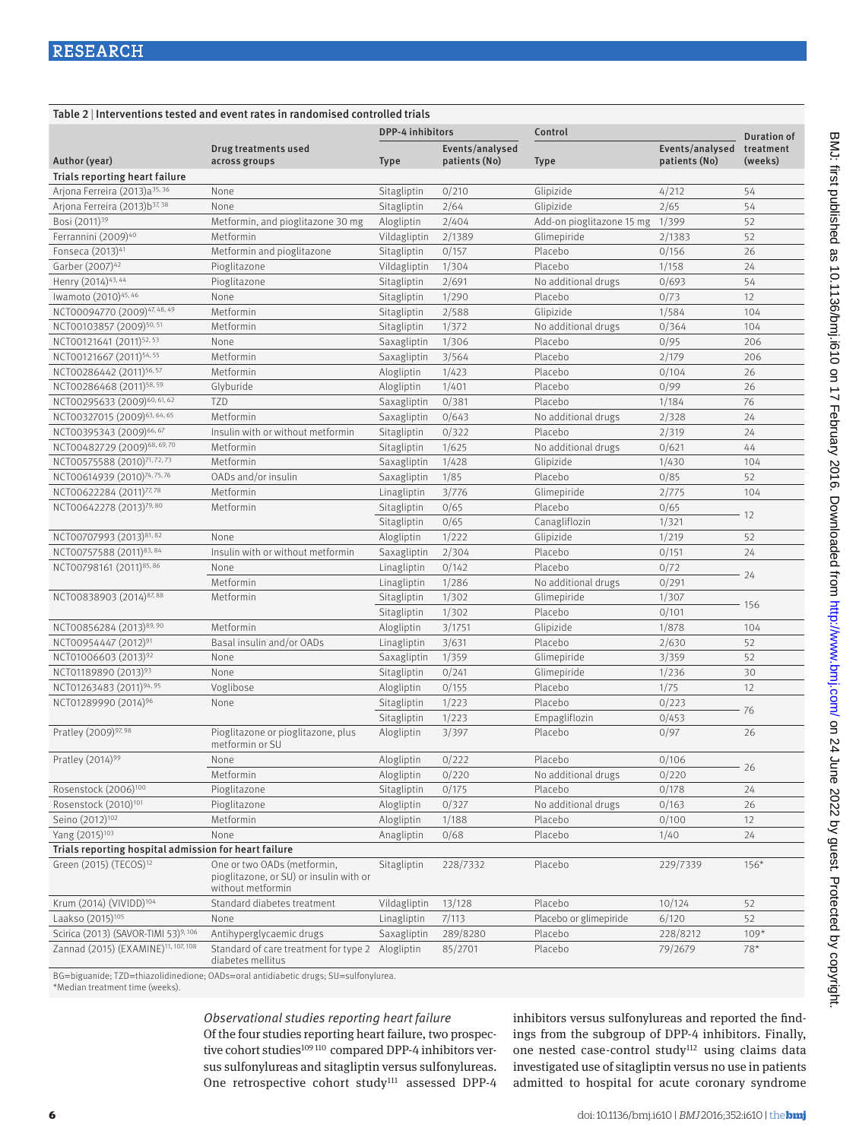|                                                       | Table 2   Interventions tested and event rates in randomised controlled trials              |                  |                                  |                           |                                  |                      |
|-------------------------------------------------------|---------------------------------------------------------------------------------------------|------------------|----------------------------------|---------------------------|----------------------------------|----------------------|
|                                                       |                                                                                             | DPP-4 inhibitors |                                  | Control                   |                                  | <b>Duration of</b>   |
| Author (year)                                         | Drug treatments used<br>across groups                                                       | Type             | Events/analysed<br>patients (No) | <b>Type</b>               | Events/analysed<br>patients (No) | treatment<br>(weeks) |
| Trials reporting heart failure                        |                                                                                             |                  |                                  |                           |                                  |                      |
| Arjona Ferreira (2013) a 35, 36                       | None                                                                                        | Sitagliptin      | 0/210                            | Glipizide                 | 4/212                            | 54                   |
| Arjona Ferreira (2013) b <sup>37, 38</sup>            | None                                                                                        | Sitagliptin      | 2/64                             | Glipizide                 | 2/65                             | 54                   |
| Bosi (2011) <sup>39</sup>                             | Metformin, and pioglitazone 30 mg                                                           | Alogliptin       | 2/404                            | Add-on pioglitazone 15 mg | 1/399                            | 52                   |
| Ferrannini (2009) <sup>40</sup>                       | Metformin                                                                                   | Vildagliptin     | 2/1389                           | Glimepiride               | 2/1383                           | 52                   |
| Fonseca (2013) <sup>41</sup>                          | Metformin and pioglitazone                                                                  | Sitagliptin      | 0/157                            | Placebo                   | 0/156                            | 26                   |
| Garber (2007) <sup>42</sup>                           | Pioglitazone                                                                                | Vildagliptin     | 1/304                            | Placebo                   | 1/158                            | 24                   |
| Henry (2014) <sup>43,44</sup>                         | Pioglitazone                                                                                | Sitagliptin      | 2/691                            | No additional drugs       | 0/693                            | 54                   |
| Iwamoto (2010) <sup>45, 46</sup>                      | None                                                                                        | Sitagliptin      | 1/290                            | Placebo                   | 0/73                             | 12                   |
| NCT00094770 (2009) <sup>47, 48, 49</sup>              | Metformin                                                                                   | Sitagliptin      | 2/588                            | Glipizide                 | 1/584                            | 104                  |
| NCT00103857 (2009) <sup>50, 51</sup>                  | Metformin                                                                                   | Sitagliptin      | 1/372                            | No additional drugs       | 0/364                            | 104                  |
| NCT00121641 (2011) <sup>52, 53</sup>                  | None                                                                                        | Saxagliptin      | 1/306                            | Placebo                   | 0/95                             | 206                  |
| NCT00121667 (2011) <sup>54, 55</sup>                  | Metformin                                                                                   | Saxagliptin      | 3/564                            | Placebo                   | 2/179                            | 206                  |
| NCT00286442 (2011) <sup>56, 57</sup>                  | Metformin                                                                                   | Alogliptin       | 1/423                            | Placebo                   | 0/104                            | 26                   |
| NCT00286468 (2011) <sup>58, 59</sup>                  | Glyburide                                                                                   | Alogliptin       | 1/401                            | Placebo                   | 0/99                             | 26                   |
| NCT00295633 (2009) <sup>60, 61, 62</sup>              | TZD                                                                                         | Saxagliptin      | 0/381                            | Placebo                   | 1/184                            | 76                   |
| NCT00327015 (2009) <sup>63, 64, 65</sup>              | Metformin                                                                                   | Saxagliptin      | 0/643                            | No additional drugs       | 2/328                            | 24                   |
| NCT00395343 (2009) <sup>66, 67</sup>                  | Insulin with or without metformin                                                           | Sitagliptin      | 0/322                            | Placebo                   | 2/319                            | 24                   |
| NCT00482729 (2009) <sup>68, 69, 70</sup>              | Metformin                                                                                   | Sitagliptin      | 1/625                            | No additional drugs       | 0/621                            | 44                   |
| NCT00575588 (2010) <sup>71, 72, 73</sup>              | Metformin                                                                                   | Saxagliptin      | 1/428                            | Glipizide                 | 1/430                            | 104                  |
| NCT00614939 (2010) <sup>74, 75, 76</sup>              | OADs and/or insulin                                                                         | Saxagliptin      | 1/85                             | Placebo                   | 0/85                             | 52                   |
| NCT00622284 (2011) <sup>77,78</sup>                   | Metformin                                                                                   | Linagliptin      | 3/776                            | Glimepiride               | 2/775                            | 104                  |
| NCT00642278 (2013) <sup>79,80</sup>                   | Metformin                                                                                   | Sitagliptin      | 0/65                             | Placebo                   | 0/65                             |                      |
|                                                       |                                                                                             | Sitagliptin      | 0/65                             | Canagliflozin             | 1/321                            | 12                   |
| NCT00707993 (2013)81, 82                              | None                                                                                        | Alogliptin       | 1/222                            | Glipizide                 | 1/219                            | 52                   |
| NCT00757588 (2011)83, 84                              | Insulin with or without metformin                                                           | Saxagliptin      | 2/304                            | Placebo                   | 0/151                            | 24                   |
| NCT00798161 (2011)85, 86                              | None                                                                                        | Linagliptin      | 0/142                            | Placebo                   | 0/72                             |                      |
|                                                       | Metformin                                                                                   | Linagliptin      | 1/286                            | No additional drugs       | 0/291                            | 24                   |
| NCT00838903 (2014) <sup>87,88</sup>                   | Metformin                                                                                   | Sitagliptin      | 1/302                            | Glimepiride               | 1/307                            |                      |
|                                                       |                                                                                             | Sitagliptin      | 1/302                            | Placebo                   | 0/101                            | 156                  |
| NCT00856284 (2013)89, 90                              | Metformin                                                                                   | Alogliptin       | 3/1751                           | Glipizide                 | 1/878                            | 104                  |
| NCT00954447 (2012) <sup>91</sup>                      | Basal insulin and/or OADs                                                                   | Linagliptin      | 3/631                            | Placebo                   | 2/630                            | 52                   |
| NCT01006603 (2013) <sup>92</sup>                      | None                                                                                        | Saxagliptin      | 1/359                            | Glimepiride               | 3/359                            | 52                   |
| NCT01189890 (2013) <sup>93</sup>                      | None                                                                                        | Sitagliptin      | 0/241                            | Glimepiride               | 1/236                            | 30                   |
| NCT01263483 (2011) <sup>94, 95</sup>                  | Voglibose                                                                                   | Alogliptin       | 0/155                            | Placebo                   | 1/75                             | 12                   |
| NCT01289990 (2014) <sup>96</sup>                      | None                                                                                        | Sitagliptin      | 1/223                            | Placebo                   | 0/223                            |                      |
|                                                       |                                                                                             | Sitagliptin      | 1/223                            | Empagliflozin             | 0/453                            | 76                   |
| Pratley (2009) <sup>97, 98</sup>                      | Pioglitazone or pioglitazone, plus<br>metformin or SU                                       | Alogliptin       | 3/397                            | Placebo                   | 0/97                             | 26                   |
| Pratley (2014) <sup>99</sup>                          | None                                                                                        | Alogliptin       | 0/222                            | Placebo                   | 0/106                            |                      |
|                                                       | Metformin                                                                                   | Alogliptin       | 0/220                            | No additional drugs       | 0/220                            | 26                   |
| Rosenstock (2006) <sup>100</sup>                      | Pioglitazone                                                                                | Sitagliptin      | 0/175                            | Placebo                   | 0/178                            | 24                   |
| Rosenstock (2010) <sup>101</sup>                      | Pioglitazone                                                                                | Alogliptin       | 0/327                            | No additional drugs       | 0/163                            | 26                   |
| Seino (2012) <sup>102</sup>                           | Metformin                                                                                   | Alogliptin       | 1/188                            | Placebo                   | 0/100                            | 12                   |
| Yang (2015) <sup>103</sup>                            | None                                                                                        | Anagliptin       | 0/68                             | Placebo                   | 1/40                             | 24                   |
| Trials reporting hospital admission for heart failure |                                                                                             |                  |                                  |                           |                                  |                      |
| Green (2015) (TECOS) <sup>12</sup>                    | One or two OADs (metformin,<br>pioglitazone, or SU) or insulin with or<br>without metformin | Sitagliptin      | 228/7332                         | Placebo                   | 229/7339                         | $156*$               |
| Krum (2014) (VIVIDD) <sup>104</sup>                   | Standard diabetes treatment                                                                 | Vildagliptin     | 13/128                           | Placebo                   | 10/124                           | 52                   |
| Laakso (2015) <sup>105</sup>                          | None                                                                                        | Linagliptin      | 7/113                            | Placebo or glimepiride    | 6/120                            | 52                   |
| Scirica (2013) (SAVOR-TIMI 53)9, 106                  | Antihyperglycaemic drugs                                                                    | Saxagliptin      | 289/8280                         | Placebo                   | 228/8212                         | $109*$               |
| Zannad (2015) (EXAMINE)11, 107, 108                   | Standard of care treatment for type 2 Alogliptin<br>diabetes mellitus                       |                  | 85/2701                          | Placebo                   | 79/2679                          | 78*                  |

BG=biguanide; TZD=thiazolidinedione; OADs=oral antidiabetic drugs; SU=sulfonylurea.

\*Median treatment time (weeks).

# *Observational studies reporting heart failure*

Of the four studies reporting heart failure, two prospective cohort studies<sup>109110</sup> compared DPP-4 inhibitors versus sulfonylureas and sitagliptin versus sulfonylureas. One retrospective cohort study<sup>111</sup> assessed DPP-4

inhibitors versus sulfonylureas and reported the findings from the subgroup of DPP-4 inhibitors. Finally, one nested case-control study<sup>112</sup> using claims data investigated use of sitagliptin versus no use in patients admitted to hospital for acute coronary syndrome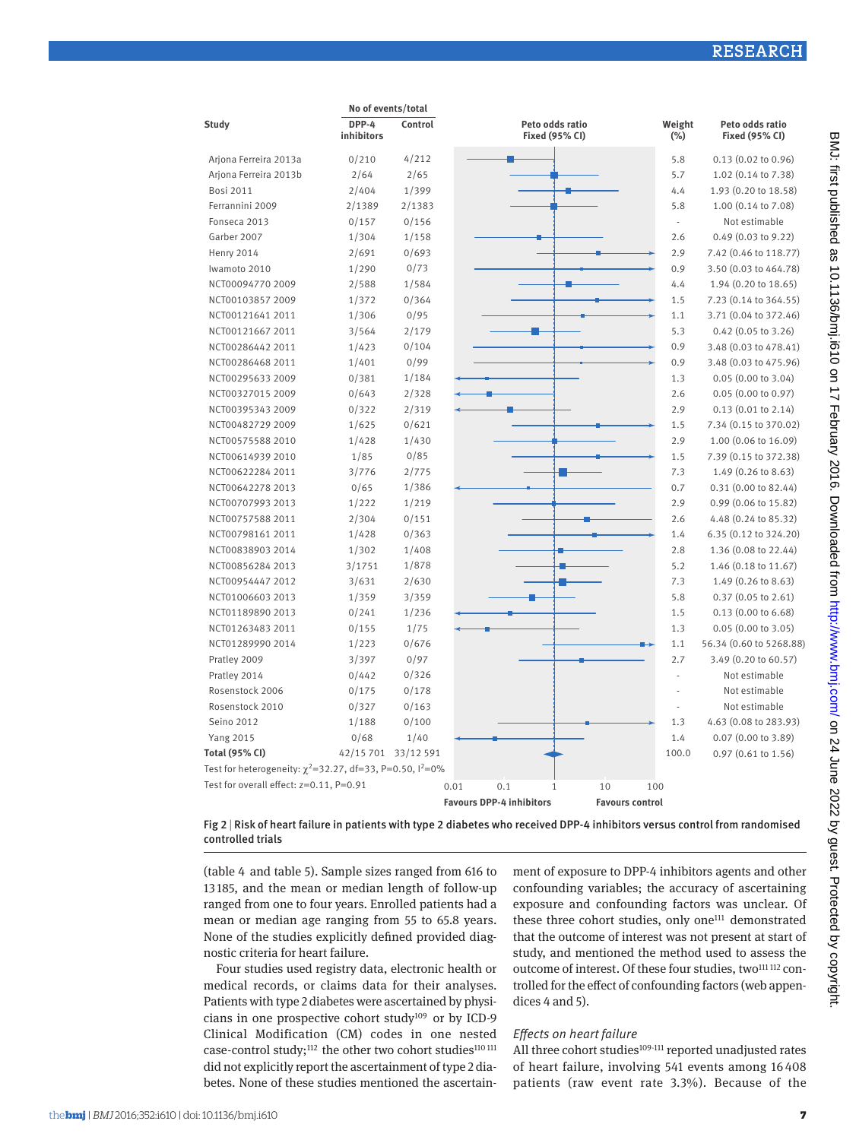| Study                                                             | DPP-4<br>inhibitors | Control | Peto odds ratio<br><b>Fixed (95% CI)</b>                  | Weight<br>(%) | Peto odds ratio<br><b>Fixed (95% CI)</b> |
|-------------------------------------------------------------------|---------------------|---------|-----------------------------------------------------------|---------------|------------------------------------------|
| Arjona Ferreira 2013a                                             | 0/210               | 4/212   |                                                           | 5.8           | 0.13 (0.02 to 0.96)                      |
| Arjona Ferreira 2013b                                             | 2/64                | 2/65    |                                                           | 5.7           | 1.02 (0.14 to 7.38)                      |
| <b>Bosi 2011</b>                                                  | 2/404               | 1/399   |                                                           | 4.4           | 1.93 (0.20 to 18.58)                     |
| Ferrannini 2009                                                   | 2/1389              | 2/1383  |                                                           | 5.8           | 1.00 (0.14 to 7.08)                      |
| Fonseca 2013                                                      | 0/157               | 0/156   |                                                           | $\sim$        | Not estimable                            |
| Garber 2007                                                       | 1/304               | 1/158   |                                                           | 2.6           | $0.49$ (0.03 to 9.22)                    |
| <b>Henry 2014</b>                                                 | 2/691               | 0/693   |                                                           | 2.9           | 7.42 (0.46 to 118.77)                    |
| Iwamoto 2010                                                      | 1/290               | 0/73    |                                                           | 0.9           | 3.50 (0.03 to 464.78)                    |
| NCT00094770 2009                                                  | 2/588               | 1/584   |                                                           | 4.4           | 1.94 (0.20 to 18.65)                     |
| NCT00103857 2009                                                  | 1/372               | 0/364   |                                                           | 1.5           | 7.23 (0.14 to 364.55)                    |
| NCT00121641 2011                                                  | 1/306               | 0/95    |                                                           | 1.1           | 3.71 (0.04 to 372.46)                    |
| NCT00121667 2011                                                  | 3/564               | 2/179   |                                                           | 5.3           | $0.42$ (0.05 to 3.26)                    |
| NCT00286442 2011                                                  | 1/423               | 0/104   |                                                           | 0.9           | 3.48 (0.03 to 478.41)                    |
| NCT00286468 2011                                                  | 1/401               | 0/99    |                                                           | 0.9           | 3.48 (0.03 to 475.96)                    |
| NCT00295633 2009                                                  | 0/381               | 1/184   |                                                           | 1.3           | 0.05(0.00 to 3.04)                       |
| NCT00327015 2009                                                  | 0/643               | 2/328   |                                                           | 2.6           | 0.05(0.00 to 0.97)                       |
| NCT00395343 2009                                                  | 0/322               | 2/319   |                                                           | 2.9           | 0.13(0.01 to 2.14)                       |
| NCT00482729 2009                                                  | 1/625               | 0/621   |                                                           | 1.5           | 7.34 (0.15 to 370.02)                    |
| NCT00575588 2010                                                  | 1/428               | 1/430   |                                                           | 2.9           | 1.00 (0.06 to 16.09)                     |
| NCT00614939 2010                                                  | 1/85                | 0/85    |                                                           | 1.5           | 7.39 (0.15 to 372.38)                    |
| NCT00622284 2011                                                  | 3/776               | 2/775   |                                                           | 7.3           | $1.49(0.26 \text{ to } 8.63)$            |
| NCT00642278 2013                                                  | 0/65                | 1/386   |                                                           | 0.7           | 0.31 (0.00 to 82.44)                     |
| NCT00707993 2013                                                  | 1/222               | 1/219   |                                                           | 2.9           | 0.99 (0.06 to 15.82)                     |
| NCT00757588 2011                                                  | 2/304               | 0/151   |                                                           | 2.6           | 4.48 (0.24 to 85.32)                     |
| NCT00798161 2011                                                  | 1/428               | 0/363   |                                                           | 1.4           | 6.35 (0.12 to 324.20)                    |
| NCT00838903 2014                                                  | 1/302               | 1/408   |                                                           | 2.8           | 1.36 (0.08 to 22.44)                     |
| NCT00856284 2013                                                  | 3/1751              | 1/878   |                                                           | 5.2           | 1.46 (0.18 to 11.67)                     |
| NCT00954447 2012                                                  | 3/631               | 2/630   |                                                           | 7.3           | 1.49 (0.26 to 8.63)                      |
| NCT01006603 2013                                                  | 1/359               | 3/359   |                                                           | 5.8           | 0.37 (0.05 to 2.61)                      |
| NCT01189890 2013                                                  | 0/241               | 1/236   |                                                           | 1.5           | 0.13(0.00 to 6.68)                       |
| NCT01263483 2011                                                  | 0/155               | 1/75    |                                                           | 1.3           | 0.05(0.00 to 3.05)                       |
| NCT01289990 2014                                                  | 1/223               | 0/676   |                                                           | 1.1           | 56.34 (0.60 to 5268.88)                  |
| Pratley 2009                                                      | 3/397               | 0/97    |                                                           | 2.7           | 3.49 (0.20 to 60.57)                     |
| Pratley 2014                                                      | 0/442               | 0/326   |                                                           | ä,            | Not estimable                            |
| Rosenstock 2006                                                   | 0/175               | 0/178   |                                                           |               | Not estimable                            |
| Rosenstock 2010                                                   | 0/327               | 0/163   |                                                           | ä,            | Not estimable                            |
| Seino 2012                                                        | 1/188               | 0/100   |                                                           | 1.3           | 4.63 (0.08 to 283.93)                    |
| <b>Yang 2015</b>                                                  | 0/68                | 1/40    |                                                           | 1.4           | 0.07 (0.00 to 3.89)                      |
| <b>Total (95% CI)</b>                                             | 42/15 701 33/12 591 |         |                                                           | 100.0         | 0.97 (0.61 to 1.56)                      |
| Test for heterogeneity: $\chi^2$ =32.27, df=33, P=0.50, $1^2$ =0% |                     |         |                                                           |               |                                          |
| Test for overall effect: z=0.11, P=0.91                           |                     |         | 0.01<br>0.1<br>10<br>$\mathbf{1}$                         | 100           |                                          |
|                                                                   |                     |         | <b>Favours DPP-4 inhibitors</b><br><b>Favours control</b> |               |                                          |

**No of events/total**



(table 4 and table 5). Sample sizes ranged from 616 to 13 185, and the mean or median length of follow-up ranged from one to four years. Enrolled patients had a mean or median age ranging from 55 to 65.8 years. None of the studies explicitly defined provided diagnostic criteria for heart failure.

Four studies used registry data, electronic health or medical records, or claims data for their analyses. Patients with type 2 diabetes were ascertained by physicians in one prospective cohort study109 or by ICD-9 Clinical Modification (CM) codes in one nested case-control study;<sup>112</sup> the other two cohort studies<sup>110 111</sup> did not explicitly report the ascertainment of type 2 diabetes. None of these studies mentioned the ascertainment of exposure to DPP-4 inhibitors agents and other confounding variables; the accuracy of ascertaining exposure and confounding factors was unclear. Of these three cohort studies, only one<sup>111</sup> demonstrated that the outcome of interest was not present at start of study, and mentioned the method used to assess the outcome of interest. Of these four studies, two<sup>111 112</sup> controlled for the effect of confounding factors (web appendices 4 and 5).

# *Effects on heart failure*

All three cohort studies<sup>109-111</sup> reported unadjusted rates of heart failure, involving 541 events among 16 408 patients (raw event rate 3.3%). Because of the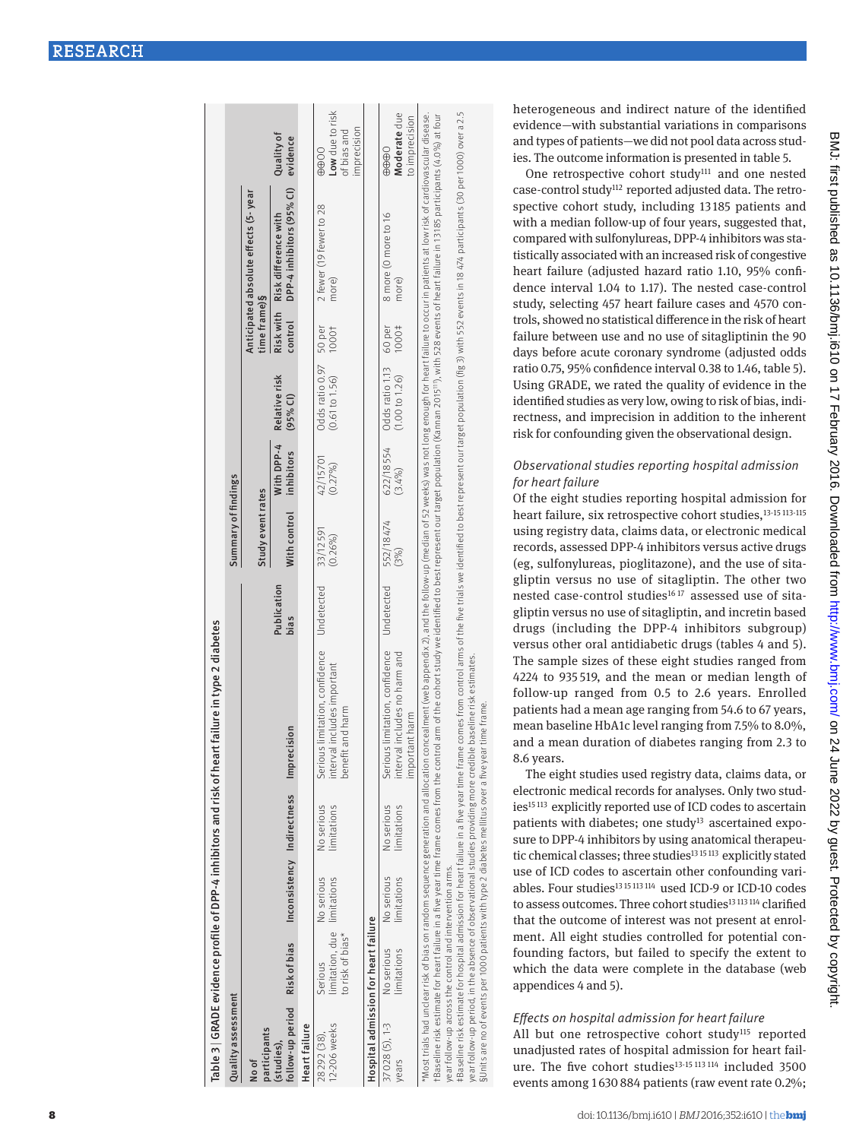| Table 3   GRADE evidence profile of DPP-4 inhibitors and risk of heart                                                                             |                                                            |                           |                                    | t failure in type 2 diabetes                                                                                                                                                                                                                                                                                                                                                                                                                                                                                                                                                                                                                                                                                                |                     |                        |                          |                                   |                     |                                                   |                                                           |
|----------------------------------------------------------------------------------------------------------------------------------------------------|------------------------------------------------------------|---------------------------|------------------------------------|-----------------------------------------------------------------------------------------------------------------------------------------------------------------------------------------------------------------------------------------------------------------------------------------------------------------------------------------------------------------------------------------------------------------------------------------------------------------------------------------------------------------------------------------------------------------------------------------------------------------------------------------------------------------------------------------------------------------------------|---------------------|------------------------|--------------------------|-----------------------------------|---------------------|---------------------------------------------------|-----------------------------------------------------------|
| Quality assessment                                                                                                                                 |                                                            |                           |                                    |                                                                                                                                                                                                                                                                                                                                                                                                                                                                                                                                                                                                                                                                                                                             |                     | Summary of findings    |                          |                                   |                     |                                                   |                                                           |
| participants<br>No of                                                                                                                              |                                                            |                           |                                    |                                                                                                                                                                                                                                                                                                                                                                                                                                                                                                                                                                                                                                                                                                                             |                     | Study event rates      |                          |                                   | time frame)§        | Anticipated absolute effects (5- year             |                                                           |
| follow-up period Risk of bias<br>(studies),                                                                                                        |                                                            |                           | Inconsistency Indirectness Impreci | ision                                                                                                                                                                                                                                                                                                                                                                                                                                                                                                                                                                                                                                                                                                                       | Publication<br>bias | With control           | With DPP-4<br>inhibitors | Relative risk<br>$(95%$ Cl)       | Riskwith<br>control | DPP-4 inhibitors (95% CI)<br>Risk difference with | Quality of<br>evidence                                    |
| Heart failure                                                                                                                                      |                                                            |                           |                                    |                                                                                                                                                                                                                                                                                                                                                                                                                                                                                                                                                                                                                                                                                                                             |                     |                        |                          |                                   |                     |                                                   |                                                           |
| 12-206 weeks<br>28292 (38).                                                                                                                        | limitation, due limitations<br>to risk of bias*<br>Serious | No serious                | No serious<br>limitations          | Serious limitation, confidence<br>interval includes important<br>benefit and harm                                                                                                                                                                                                                                                                                                                                                                                                                                                                                                                                                                                                                                           | Undetected          | 33/12591<br>$(0.26\%)$ | 42/15701<br>(0.27%)      | Odds ratio 0.97<br>(0.61 to 1.56) | 50 per<br>10001     | 2 fewer (19 fewer to 28<br>more)                  | Low due to risk<br>imprecision<br>of bias and<br>$\oplus$ |
| Hospital admission for heart failure                                                                                                               |                                                            |                           |                                    |                                                                                                                                                                                                                                                                                                                                                                                                                                                                                                                                                                                                                                                                                                                             |                     |                        |                          |                                   |                     |                                                   |                                                           |
| 37028(5), 1-3<br>vears                                                                                                                             | No serious<br>limitations                                  | No serious<br>limitations | No serious<br>imitations           | Serious limitation, confidence<br>interval includes no harm and<br>mportant harm                                                                                                                                                                                                                                                                                                                                                                                                                                                                                                                                                                                                                                            | Undetected          | 552/18474<br>3%)       | 622/18554<br>3.4%        | Odds ratio 1.13<br>(1.00 to 1.26) | 60 per<br>1000#     | 8 more (0 more to 16<br>more)                     | Moderate due<br>to imprecision<br>$\oplus \oplus \oplus$  |
| year follow-up period, in the absence of observational studies providing more credible<br>year follow-up across the control and intervention arms. |                                                            |                           |                                    | #Baseline risk estimate for hospital admission for heart fallure in a five year time frame comes from control arms of the five trials we identified to best represent our target population (fig 3) with 552 events in 18 474<br>*Most trials had unclear risk of bias on random sequence generation and allocation and allocation concealment (web appendix), and the follow-up (median of 52 weeks) was not long enough for heart failure to occur in patient<br>tBaseline risk estimate for heart failure in a five year time frame comes from the control arm of the cohort study we identified to best represent our target population (Kannan 2015"!), with 528 events of heart failure in<br>baseline risk estimates |                     |                        |                          |                                   |                     |                                                   |                                                           |

heterogeneous and indirect nature of the identified evidence—with substantial variations in comparisons and types of patients—we did not pool data across stud ies. The outcome information is presented in table 5. One retrospective cohort study<sup>111</sup> and one nested

case-control study<sup>112</sup> reported adjusted data. The retrospective cohort study, including 13 185 patients and with a median follow-up of four years, suggested that, compared with sulfonylureas, DPP-4 inhibitors was sta tistically associated with an increased risk of congestive heart failure (adjusted hazard ratio 1.10, 95% confi dence interval 1.04 to 1.17). The nested case-control study, selecting 457 heart failure cases and 4570 con trols, showed no statistical difference in the risk of heart failure between use and no use of sitagliptinin the 90 days before acute coronary syndrome (adjusted odds ratio 0.75, 95% confidence interval 0.38 to 1.46, table 5). Using GRADE, we rated the quality of evidence in the identified studies as very low, owing to risk of bias, indi rectness, and imprecision in addition to the inherent risk for confounding given the observational design.

# *Observational studies reporting hospital admission for heart failure*

Of the eight studies reporting hospital admission for heart failure, six retrospective cohort studies,<sup>13-15 113-115</sup> using registry data, claims data, or electronic medical records, assessed DPP-4 inhibitors versus active drugs (eg, sulfonylureas, pioglitazone), and the use of sita gliptin versus no use of sitagliptin. The other two nested case-control studies<sup>1617</sup> assessed use of sitagliptin versus no use of sitagliptin, and incretin based drugs (including the DPP-4 inhibitors subgroup) versus other oral antidiabetic drugs (tables 4 and 5). The sample sizes of these eight studies ranged from 4224 to 935 519, and the mean or median length of follow-up ranged from 0.5 to 2.6 years. Enrolled patients had a mean age ranging from 54.6 to 67 years, mean baseline HbA1c level ranging from 7.5% to 8.0%, and a mean duration of diabetes ranging from 2.3 to 8.6 years.

The eight studies used registry data, claims data, or electronic medical records for analyses. Only two stud ies<sup>15113</sup> explicitly reported use of ICD codes to ascertain patients with diabetes; one study<sup>13</sup> ascertained exposure to DPP-4 inhibitors by using anatomical therapeu tic chemical classes; three studies<sup>13 15 113</sup> explicitly stated use of ICD codes to ascertain other confounding vari ables. Four studies<sup>1315113114</sup> used ICD-9 or ICD-10 codes to assess outcomes. Three cohort studies<sup>13 113 114</sup> clarified that the outcome of interest was not present at enrol ment. All eight studies controlled for potential con founding factors, but failed to specify the extent to which the data were complete in the database (web appendices 4 and 5).

year follow-up period, in the absence of observational studies providing more credible baseline risk estimates. §Units are no of events per 1000 patients with type 2 diabetes mellitus over a five year time frame.

§Units are no of events per 1000 patients with type 2 diabetes mellitus over a five year time frame. follow-up period, in the absence of observational studies providing more credible

# *Effects on hospital admission for heart failure*

All but one retrospective cohort study<sup>115</sup> reported unadjusted rates of hospital admission for heart fail ure. The five cohort studies<sup>13-15 113 114</sup> included 3500 events among 1 630 884 patients (raw event rate 0.2%;

# Chant  $\overline{\phantom{a}}$ ൎ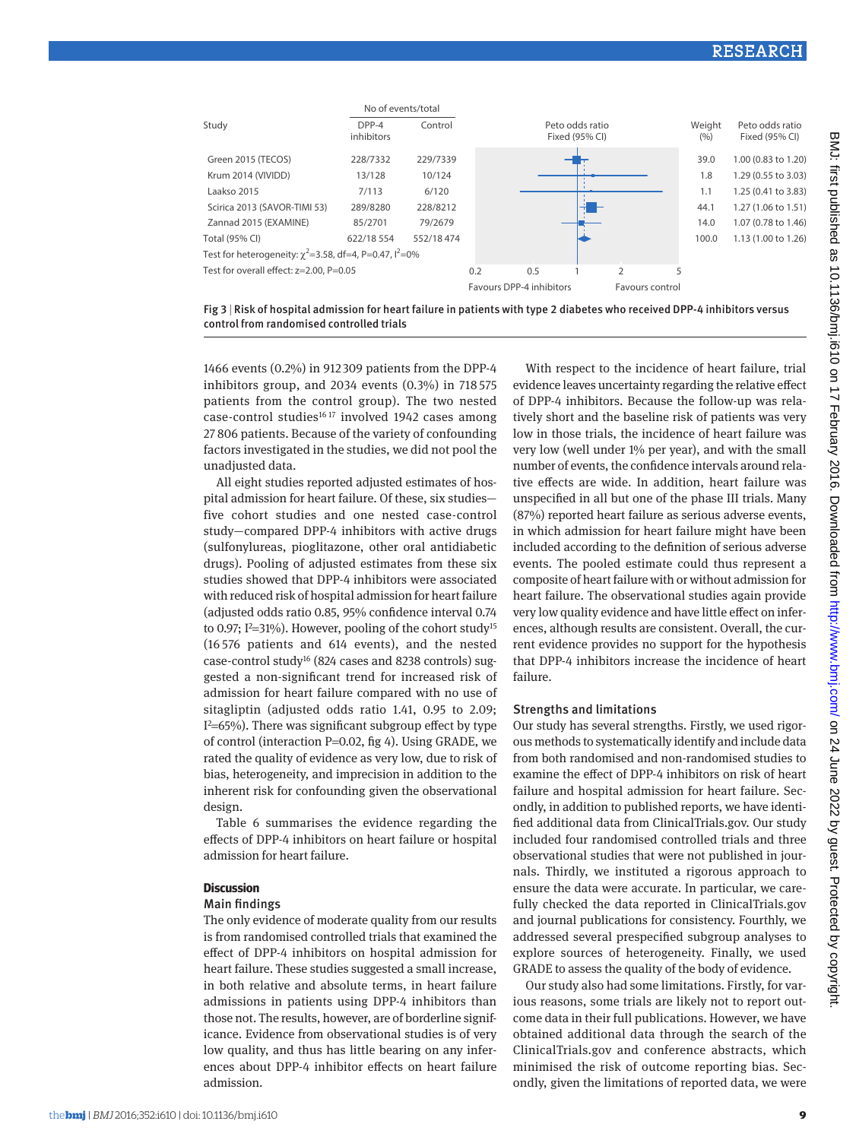

Fig 3 | Risk of hospital admission for heart failure in patients with type 2 diabetes who received DPP-4 inhibitors versus control from randomised controlled trials

1466 events (0.2%) in 912 309 patients from the DPP-4 inhibitors group, and 2034 events (0.3%) in 718 575 patients from the control group). The two nested case-control studies $1617$  involved 1942 cases among 27 806 patients. Because of the variety of confounding factors investigated in the studies, we did not pool the unadjusted data.

All eight studies reported adjusted estimates of hospital admission for heart failure. Of these, six studies five cohort studies and one nested case-control study—compared DPP-4 inhibitors with active drugs (sulfonylureas, pioglitazone, other oral antidiabetic drugs). Pooling of adjusted estimates from these six studies showed that DPP-4 inhibitors were associated with reduced risk of hospital admission for heart failure (adjusted odds ratio 0.85, 95% confidence interval 0.74 to 0.97; I<sup>2</sup>=31%). However, pooling of the cohort study<sup>15</sup> (16 576 patients and 614 events), and the nested case-control study16 (824 cases and 8238 controls) suggested a non-significant trend for increased risk of admission for heart failure compared with no use of sitagliptin (adjusted odds ratio 1.41, 0.95 to 2.09; I2 =65%). There was significant subgroup effect by type of control (interaction P=0.02, fig 4). Using GRADE, we rated the quality of evidence as very low, due to risk of bias, heterogeneity, and imprecision in addition to the inherent risk for confounding given the observational design.

Table 6 summarises the evidence regarding the effects of DPP-4 inhibitors on heart failure or hospital admission for heart failure.

#### **Discussion**

#### Main findings

The only evidence of moderate quality from our results is from randomised controlled trials that examined the effect of DPP-4 inhibitors on hospital admission for heart failure. These studies suggested a small increase, in both relative and absolute terms, in heart failure admissions in patients using DPP-4 inhibitors than those not. The results, however, are of borderline significance. Evidence from observational studies is of very low quality, and thus has little bearing on any inferences about DPP-4 inhibitor effects on heart failure admission.

With respect to the incidence of heart failure, trial evidence leaves uncertainty regarding the relative effect of DPP-4 inhibitors. Because the follow-up was relatively short and the baseline risk of patients was very low in those trials, the incidence of heart failure was very low (well under 1% per year), and with the small number of events, the confidence intervals around relative effects are wide. In addition, heart failure was unspecified in all but one of the phase III trials. Many (87%) reported heart failure as serious adverse events, in which admission for heart failure might have been included according to the definition of serious adverse events. The pooled estimate could thus represent a composite of heart failure with or without admission for heart failure. The observational studies again provide very low quality evidence and have little effect on inferences, although results are consistent. Overall, the current evidence provides no support for the hypothesis that DPP-4 inhibitors increase the incidence of heart failure.

#### Strengths and limitations

Our study has several strengths. Firstly, we used rigorous methods to systematically identify and include data from both randomised and non-randomised studies to examine the effect of DPP-4 inhibitors on risk of heart failure and hospital admission for heart failure. Secondly, in addition to published reports, we have identified additional data from ClinicalTrials.gov. Our study included four randomised controlled trials and three observational studies that were not published in journals. Thirdly, we instituted a rigorous approach to ensure the data were accurate. In particular, we carefully checked the data reported in ClinicalTrials.gov and journal publications for consistency. Fourthly, we addressed several prespecified subgroup analyses to explore sources of heterogeneity. Finally, we used GRADE to assess the quality of the body of evidence.

Our study also had some limitations. Firstly, for various reasons, some trials are likely not to report outcome data in their full publications. However, we have obtained additional data through the search of the ClinicalTrials.gov and conference abstracts, which minimised the risk of outcome reporting bias. Secondly, given the limitations of reported data, we were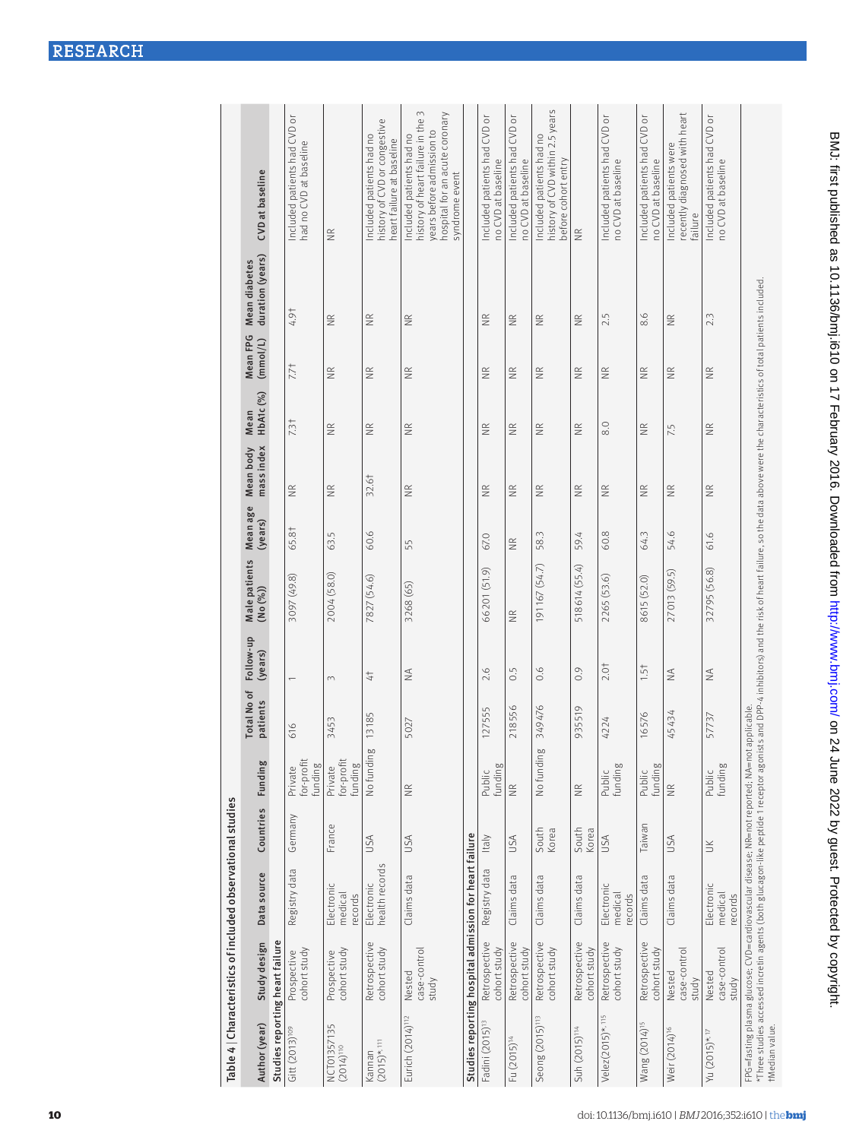| history of CVD within 2.5 years<br>history of heart failure in the 3<br>hospital for an acute coronary<br>recently diagnosed with heart<br>Included patients had CVD or<br>Included patients had CVD or<br>Included patients had CVD or<br>Included patients had CVD or<br>Included patients had CVD or<br>Included patients had CVD or<br>history of CVD or congestive<br>rears before admission to<br>Included patients had no<br>ncluded patients had no<br>Included patients had no<br>neart failure at baseline<br>had no CVD at baseline<br>ncluded patients were<br>before cohort entry<br>no CVD at baseline<br>no CVD at baseline<br>no CVD at baseline<br>no CVD at baseline<br>no CVD at baseline<br>syndrome event<br>failure<br>$\frac{\alpha}{2}$<br>$\frac{\alpha}{\alpha}$<br>4.9†<br>8.6<br>2.5<br>2.3<br>$\frac{\alpha}{2}$<br>$\widetilde{\Xi}$<br>$\widetilde{\Xi}$<br>$\frac{\alpha}{2}$<br>$\widetilde{\Xi}$<br>$\frac{\alpha}{2}$<br>$\frac{\alpha}{2}$<br>$\frac{\alpha}{\alpha}$<br>$7.7+$<br>$\frac{\alpha}{2}$<br>$\widetilde{\Xi}$<br>$\widetilde{\Xi}$<br>$\frac{\alpha}{2}$<br>$\widetilde{\Xi}$<br>$\widetilde{\Xi}$<br>$\widetilde{\Xi}$<br>$\widetilde{\Xi}$<br>$\widetilde{\Xi}$<br>$\frac{\alpha}{2}$<br>$\widetilde{\Xi}$<br>7.3 <sup>†</sup><br>8.0<br>$\frac{\alpha}{\alpha}$<br>$\widetilde{\Xi}$<br>$\frac{\alpha}{2}$<br>$\frac{\alpha}{2}$<br>$\frac{\alpha}{2}$<br>$\frac{\alpha}{2}$<br>$\widetilde{\Xi}$<br>$\widetilde{\Xi}$<br>$\widetilde{\Xi}$<br>7.5<br>32.6 <sup>†</sup><br>$\widetilde{\Xi}$<br>$\frac{\alpha}{2}$<br>$\widetilde{\Xi}$<br>$\widetilde{\Xi}$<br>$\widetilde{\Xi}$<br>$\widetilde{\Xi}$<br>$\frac{\alpha}{2}$<br>$\widetilde{\Xi}$<br>$\widetilde{\Xi}$<br>$\frac{\alpha}{2}$<br>$\widetilde{\Xi}$<br>65.8†<br>60.6<br>60.8<br>64.3<br>63.5<br>583<br>54.6<br>59.4<br>67.0<br>61.6<br>$\frac{\alpha}{\alpha}$<br>55<br>191167 (54.7)<br>518614 (55.4)<br>32795 (56.8)<br>66201 (51.9)<br>27013 (59.5)<br>2004 (58.0)<br>3097 (49.8)<br>2265 (53.6)<br>7827 (54.6)<br>8615 (52.0)<br>3268 (65)<br>$\widetilde{\Xi}$<br>$2.0+$<br>1.51<br>0.6<br>0.9<br>2.6<br>0.5<br>$\lessgtr$<br>$\frac{1}{2}$<br>$\lessapprox$<br>$\ddot{+}$<br>$\infty$<br>$\overline{\phantom{0}}$<br>349476<br>218556<br>935519<br>127555<br>45434<br>16576<br>13185<br>57737<br>3453<br>4224<br>5027<br>616<br>No funding<br>No funding<br>or-profit<br>for-profit<br>funding<br>funding<br>funding<br>Public<br>funding<br>funding<br>Public<br>funding<br>Private<br>Private<br>Public<br>Public<br>$\frac{\alpha}{2}$<br>$\widetilde{\Xi}$<br>$\frac{\alpha}{2}$<br>$\frac{\alpha}{2}$<br>Germany<br>France<br>Taiwan<br>South<br>South<br>Korea<br>Korea<br>Studies reporting hospital admission for heart failure<br>USA<br>USA<br>USA<br>Italy<br>USA<br>USA<br>$\leq$<br>health records<br>Registry data<br>Registry data<br>Claims data<br>Claims data<br>Claims data<br>Claims data<br>Claims data<br>Claims data<br>Electronic<br>Electronic<br>Electronic<br>Electronic<br>medical<br>medical<br>ecords<br>medical<br>ecords<br>records<br>Retrospective<br>Retrospective<br>Retrospective<br>Retrospective<br>Retrospective<br>Retrospective |                                 | Study design | Table 4   Characteristics of included observational studies<br>Data source | Countries | Funding | <b>Total No of</b><br>patients | Follow-up<br>(years) | Male patients<br>(0 <sub>6</sub> ) | Mean age<br>(years) | mass index<br>Mean body | HbA1c (%)<br>Mean | Mean FPG<br>(mmol/L) | duration (years)<br>Mean diabetes | CVD at baseline |
|---------------------------------------------------------------------------------------------------------------------------------------------------------------------------------------------------------------------------------------------------------------------------------------------------------------------------------------------------------------------------------------------------------------------------------------------------------------------------------------------------------------------------------------------------------------------------------------------------------------------------------------------------------------------------------------------------------------------------------------------------------------------------------------------------------------------------------------------------------------------------------------------------------------------------------------------------------------------------------------------------------------------------------------------------------------------------------------------------------------------------------------------------------------------------------------------------------------------------------------------------------------------------------------------------------------------------------------------------------------------------------------------------------------------------------------------------------------------------------------------------------------------------------------------------------------------------------------------------------------------------------------------------------------------------------------------------------------------------------------------------------------------------------------------------------------------------------------------------------------------------------------------------------------------------------------------------------------------------------------------------------------------------------------------------------------------------------------------------------------------------------------------------------------------------------------------------------------------------------------------------------------------------------------------------------------------------------------------------------------------------------------------------------------------------------------------------------------------------------------------------------------------------------------------------------------------------------------------------------------------------------------------------------------------------------------------------------------------------------------------------------------------------------------------------------------------------------------------------------------------------------------------------------------------------------------------------------------------------------------------------------------------------------------------------------------------------------------------------------------------------------------------------------------------------------------------------|---------------------------------|--------------|----------------------------------------------------------------------------|-----------|---------|--------------------------------|----------------------|------------------------------------|---------------------|-------------------------|-------------------|----------------------|-----------------------------------|-----------------|
|                                                                                                                                                                                                                                                                                                                                                                                                                                                                                                                                                                                                                                                                                                                                                                                                                                                                                                                                                                                                                                                                                                                                                                                                                                                                                                                                                                                                                                                                                                                                                                                                                                                                                                                                                                                                                                                                                                                                                                                                                                                                                                                                                                                                                                                                                                                                                                                                                                                                                                                                                                                                                                                                                                                                                                                                                                                                                                                                                                                                                                                                                                                                                                                                   | Studies reporting heart failure |              |                                                                            |           |         |                                |                      |                                    |                     |                         |                   |                      |                                   |                 |
|                                                                                                                                                                                                                                                                                                                                                                                                                                                                                                                                                                                                                                                                                                                                                                                                                                                                                                                                                                                                                                                                                                                                                                                                                                                                                                                                                                                                                                                                                                                                                                                                                                                                                                                                                                                                                                                                                                                                                                                                                                                                                                                                                                                                                                                                                                                                                                                                                                                                                                                                                                                                                                                                                                                                                                                                                                                                                                                                                                                                                                                                                                                                                                                                   | cohort study<br>Prospective     |              |                                                                            |           |         |                                |                      |                                    |                     |                         |                   |                      |                                   |                 |
|                                                                                                                                                                                                                                                                                                                                                                                                                                                                                                                                                                                                                                                                                                                                                                                                                                                                                                                                                                                                                                                                                                                                                                                                                                                                                                                                                                                                                                                                                                                                                                                                                                                                                                                                                                                                                                                                                                                                                                                                                                                                                                                                                                                                                                                                                                                                                                                                                                                                                                                                                                                                                                                                                                                                                                                                                                                                                                                                                                                                                                                                                                                                                                                                   | cohort study<br>Prospective     |              |                                                                            |           |         |                                |                      |                                    |                     |                         |                   |                      |                                   |                 |
|                                                                                                                                                                                                                                                                                                                                                                                                                                                                                                                                                                                                                                                                                                                                                                                                                                                                                                                                                                                                                                                                                                                                                                                                                                                                                                                                                                                                                                                                                                                                                                                                                                                                                                                                                                                                                                                                                                                                                                                                                                                                                                                                                                                                                                                                                                                                                                                                                                                                                                                                                                                                                                                                                                                                                                                                                                                                                                                                                                                                                                                                                                                                                                                                   | Retrospective<br>cohort study   |              |                                                                            |           |         |                                |                      |                                    |                     |                         |                   |                      |                                   |                 |
|                                                                                                                                                                                                                                                                                                                                                                                                                                                                                                                                                                                                                                                                                                                                                                                                                                                                                                                                                                                                                                                                                                                                                                                                                                                                                                                                                                                                                                                                                                                                                                                                                                                                                                                                                                                                                                                                                                                                                                                                                                                                                                                                                                                                                                                                                                                                                                                                                                                                                                                                                                                                                                                                                                                                                                                                                                                                                                                                                                                                                                                                                                                                                                                                   | case-control<br>Nested<br>study |              |                                                                            |           |         |                                |                      |                                    |                     |                         |                   |                      |                                   |                 |
|                                                                                                                                                                                                                                                                                                                                                                                                                                                                                                                                                                                                                                                                                                                                                                                                                                                                                                                                                                                                                                                                                                                                                                                                                                                                                                                                                                                                                                                                                                                                                                                                                                                                                                                                                                                                                                                                                                                                                                                                                                                                                                                                                                                                                                                                                                                                                                                                                                                                                                                                                                                                                                                                                                                                                                                                                                                                                                                                                                                                                                                                                                                                                                                                   |                                 |              |                                                                            |           |         |                                |                      |                                    |                     |                         |                   |                      |                                   |                 |
|                                                                                                                                                                                                                                                                                                                                                                                                                                                                                                                                                                                                                                                                                                                                                                                                                                                                                                                                                                                                                                                                                                                                                                                                                                                                                                                                                                                                                                                                                                                                                                                                                                                                                                                                                                                                                                                                                                                                                                                                                                                                                                                                                                                                                                                                                                                                                                                                                                                                                                                                                                                                                                                                                                                                                                                                                                                                                                                                                                                                                                                                                                                                                                                                   | cohort study                    |              |                                                                            |           |         |                                |                      |                                    |                     |                         |                   |                      |                                   |                 |
|                                                                                                                                                                                                                                                                                                                                                                                                                                                                                                                                                                                                                                                                                                                                                                                                                                                                                                                                                                                                                                                                                                                                                                                                                                                                                                                                                                                                                                                                                                                                                                                                                                                                                                                                                                                                                                                                                                                                                                                                                                                                                                                                                                                                                                                                                                                                                                                                                                                                                                                                                                                                                                                                                                                                                                                                                                                                                                                                                                                                                                                                                                                                                                                                   | cohort study                    |              |                                                                            |           |         |                                |                      |                                    |                     |                         |                   |                      |                                   |                 |
|                                                                                                                                                                                                                                                                                                                                                                                                                                                                                                                                                                                                                                                                                                                                                                                                                                                                                                                                                                                                                                                                                                                                                                                                                                                                                                                                                                                                                                                                                                                                                                                                                                                                                                                                                                                                                                                                                                                                                                                                                                                                                                                                                                                                                                                                                                                                                                                                                                                                                                                                                                                                                                                                                                                                                                                                                                                                                                                                                                                                                                                                                                                                                                                                   | cohort study                    |              |                                                                            |           |         |                                |                      |                                    |                     |                         |                   |                      |                                   |                 |
|                                                                                                                                                                                                                                                                                                                                                                                                                                                                                                                                                                                                                                                                                                                                                                                                                                                                                                                                                                                                                                                                                                                                                                                                                                                                                                                                                                                                                                                                                                                                                                                                                                                                                                                                                                                                                                                                                                                                                                                                                                                                                                                                                                                                                                                                                                                                                                                                                                                                                                                                                                                                                                                                                                                                                                                                                                                                                                                                                                                                                                                                                                                                                                                                   | cohort study                    |              |                                                                            |           |         |                                |                      |                                    |                     |                         |                   |                      |                                   |                 |
|                                                                                                                                                                                                                                                                                                                                                                                                                                                                                                                                                                                                                                                                                                                                                                                                                                                                                                                                                                                                                                                                                                                                                                                                                                                                                                                                                                                                                                                                                                                                                                                                                                                                                                                                                                                                                                                                                                                                                                                                                                                                                                                                                                                                                                                                                                                                                                                                                                                                                                                                                                                                                                                                                                                                                                                                                                                                                                                                                                                                                                                                                                                                                                                                   | cohort study                    |              |                                                                            |           |         |                                |                      |                                    |                     |                         |                   |                      |                                   |                 |
|                                                                                                                                                                                                                                                                                                                                                                                                                                                                                                                                                                                                                                                                                                                                                                                                                                                                                                                                                                                                                                                                                                                                                                                                                                                                                                                                                                                                                                                                                                                                                                                                                                                                                                                                                                                                                                                                                                                                                                                                                                                                                                                                                                                                                                                                                                                                                                                                                                                                                                                                                                                                                                                                                                                                                                                                                                                                                                                                                                                                                                                                                                                                                                                                   | cohort study                    |              |                                                                            |           |         |                                |                      |                                    |                     |                         |                   |                      |                                   |                 |
|                                                                                                                                                                                                                                                                                                                                                                                                                                                                                                                                                                                                                                                                                                                                                                                                                                                                                                                                                                                                                                                                                                                                                                                                                                                                                                                                                                                                                                                                                                                                                                                                                                                                                                                                                                                                                                                                                                                                                                                                                                                                                                                                                                                                                                                                                                                                                                                                                                                                                                                                                                                                                                                                                                                                                                                                                                                                                                                                                                                                                                                                                                                                                                                                   | case-control<br>Nested<br>study |              |                                                                            |           |         |                                |                      |                                    |                     |                         |                   |                      |                                   |                 |
|                                                                                                                                                                                                                                                                                                                                                                                                                                                                                                                                                                                                                                                                                                                                                                                                                                                                                                                                                                                                                                                                                                                                                                                                                                                                                                                                                                                                                                                                                                                                                                                                                                                                                                                                                                                                                                                                                                                                                                                                                                                                                                                                                                                                                                                                                                                                                                                                                                                                                                                                                                                                                                                                                                                                                                                                                                                                                                                                                                                                                                                                                                                                                                                                   | case-control<br>Nested<br>study |              |                                                                            |           |         |                                |                      |                                    |                     |                         |                   |                      |                                   |                 |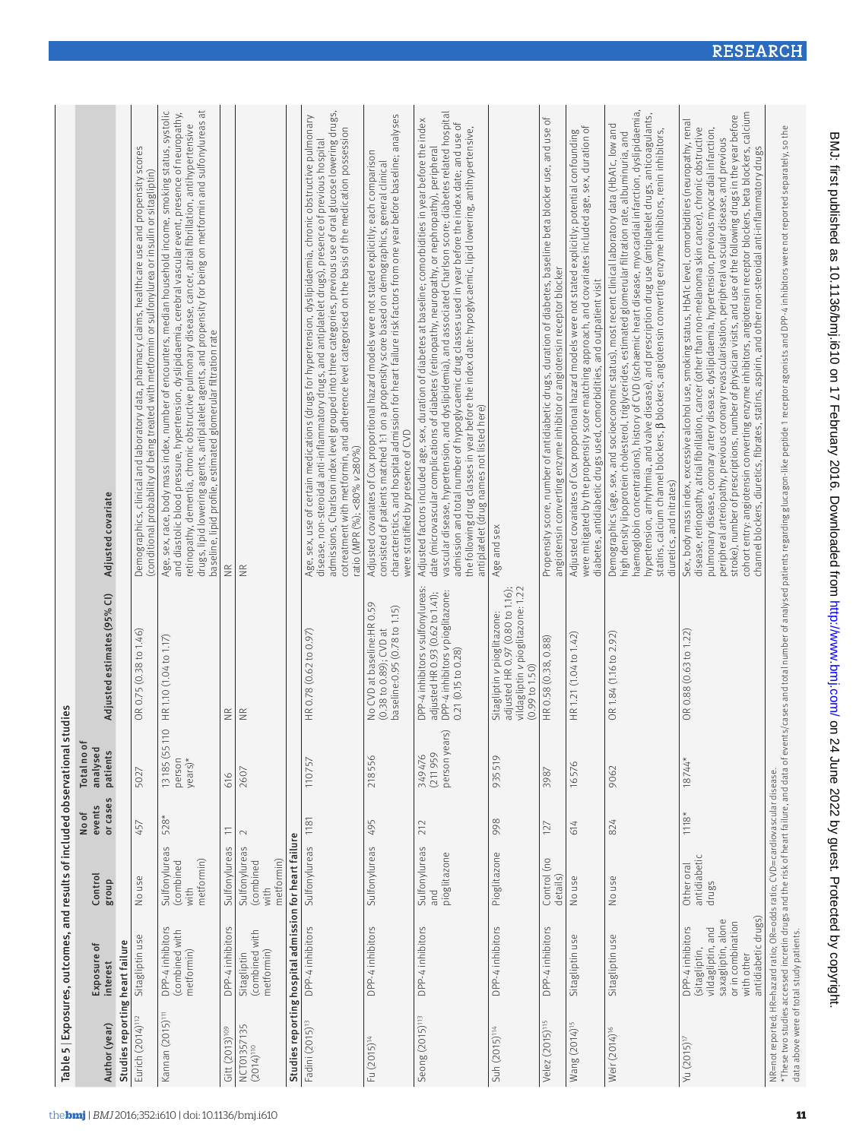|                                          | Table 5   Exposures, outcomes, and results of included observational                                                                   |                                                  |                                                       |                                    | studies                                                                                                                          |                                                                                                                                                                                                                                                                                                                                                                                                                                                                                                                                                                                                                                                                                                                                                                                                   |
|------------------------------------------|----------------------------------------------------------------------------------------------------------------------------------------|--------------------------------------------------|-------------------------------------------------------|------------------------------------|----------------------------------------------------------------------------------------------------------------------------------|---------------------------------------------------------------------------------------------------------------------------------------------------------------------------------------------------------------------------------------------------------------------------------------------------------------------------------------------------------------------------------------------------------------------------------------------------------------------------------------------------------------------------------------------------------------------------------------------------------------------------------------------------------------------------------------------------------------------------------------------------------------------------------------------------|
| Author (year)                            | Exposure of<br>interest                                                                                                                | Control<br>dno.lg                                | or cases<br>events<br>No of                           | Total no o<br>analysed<br>patients | Adjusted estimates (95% Cl)                                                                                                      | Adjusted covariate                                                                                                                                                                                                                                                                                                                                                                                                                                                                                                                                                                                                                                                                                                                                                                                |
| Studies reporting heart failure          |                                                                                                                                        |                                                  |                                                       |                                    |                                                                                                                                  |                                                                                                                                                                                                                                                                                                                                                                                                                                                                                                                                                                                                                                                                                                                                                                                                   |
| Eurich (2014) <sup>112</sup>             | Sitagliptin use                                                                                                                        | No use                                           | 457                                                   | 5027                               | OR 0.75 (0.38 to 1.46)                                                                                                           | Demographics, clinical and laboratory data, pharmacy claims, healthcare use and propensity scores<br>(conditional probability of being treated with metformin or sulfonylurea or insulin or sitagliptin)                                                                                                                                                                                                                                                                                                                                                                                                                                                                                                                                                                                          |
| Kannan (2015) <sup>111</sup>             | DPP-4 inhibitors<br>(combined with<br>metformin)                                                                                       | Sulfonylureas<br>metformin)<br>(combined<br>with | 528*                                                  | person<br>years)*                  | 13185 (55110 HR 1.10 (1.04 to 1.17)                                                                                              | Age, sex, race, body mass index, number of encounters, median household income, smoking status, systolic<br>drugs, lipid lowering agents, antiplatelet agents, and propensity for being on metformin and sulfonylureas at<br>and diastolic blood pressure, hypertension, dyslipidaemia, cerebral vascular event, presence of neuropathy,<br>retinopathy, dementia, chronic obstructive pulmonary disease, cancer, atrial fibrillation, antihypertensive<br>baseline, lipid profile, estimated glomerular filtration rate                                                                                                                                                                                                                                                                          |
| Gitt (2013) <sup>109</sup>               | DPP-4 inhibitors                                                                                                                       | Sulfonylureas                                    | $\stackrel{\textstyle{-}}{\textstyle{\textstyle{-}}}$ | 616                                | $\widetilde{\Xi}$                                                                                                                | $\widetilde{\Xi}$                                                                                                                                                                                                                                                                                                                                                                                                                                                                                                                                                                                                                                                                                                                                                                                 |
| NCT01357135<br>$(2014)$ <sup>110</sup>   | (combined with<br>metformin)<br>Sitagliptin                                                                                            | Sulfonylureas<br>metformin)<br>(combined<br>with |                                                       | 2607                               | $\frac{\alpha}{\alpha}$                                                                                                          | $\widetilde{\Xi}$                                                                                                                                                                                                                                                                                                                                                                                                                                                                                                                                                                                                                                                                                                                                                                                 |
|                                          | Studies reporting hospital admission for heart failure                                                                                 |                                                  |                                                       |                                    |                                                                                                                                  |                                                                                                                                                                                                                                                                                                                                                                                                                                                                                                                                                                                                                                                                                                                                                                                                   |
| Fadini (2015) <sup>13</sup>              | DPP-4 inhibitors                                                                                                                       | Sulfonylureas                                    | 1181                                                  | 110757                             | HR 0.78 (0.62 to 0.97)                                                                                                           | admissions, Charlson index level grouped into three categories, previous use of oral glucose lowering drugs,<br>Age, sex, use of certain medications (drugs for hypertension, dyslipidaemia, chronic obstructive pulmonary<br>cotreatment with metformin, and adherence level categorised on the basis of the medication possession<br>disease, non-steroidal anti-inflammatory drugs, and antiplatelet drugs), presence of previous hospital<br>ratio (MPR (%); <80% v≥80%)                                                                                                                                                                                                                                                                                                                      |
| Fu (2015) <sup>14</sup>                  | DPP-4 inhibitors                                                                                                                       | Sulfonylureas                                    | 495                                                   | 218556                             | No CVD at baseline: HR 0.59<br>baseline: 0.95 (0.78 to 1.15)<br>(0.38 to 0.89); CVD at                                           | characteristics, and hospital admission for heart failure risk factors from one year before baseline; analyses<br>Adjusted covariates of Cox proportional hazard models were not stated explicitly; each comparison<br>consisted of patients matched 1:1 on a propensity score based on demographics, general clinical<br>were stratified by presence of CVD                                                                                                                                                                                                                                                                                                                                                                                                                                      |
| Seong (2015) <sup>113</sup>              | DPP-4 inhibitors                                                                                                                       | Sulfonylureas<br>pioglitazone<br>and             | 212                                                   | person years)<br>(211959<br>349476 | DPP-4 inhibitors v sulfonylureas:<br>adjusted HR 0.93 (0.62 to 1.41);<br>DPP-4 inhibitors v pioglitazone:<br>0.21 (0.15 to 0.28) | vascular disease, hypertension, and dyslipidemia), and associated Charlson score; diabetes related hospital<br>Adjusted factors included age, sex, duration of diabetes at baseline; comorbidities in year before the index<br>admission and total number of hypoglycaemic drug classes used in year before the index date; and use of<br>the following drug classes in year before the index date: hypoglycaemic, lipid lowering, antihypertensive,<br>date (microvascular complications of diabetes (retinopathy, neuropathy, or nephropathy), peripheral<br>antiplatelet (drug names not listed here)                                                                                                                                                                                          |
| Suh (2015) <sup>114</sup>                | DPP-4 inhibitors                                                                                                                       | Pioglitazone                                     | 998                                                   | 935519                             | Sitagliptin v pioglitazone:<br>adjusted HR 0.97 (0.80 to 1.16);<br>vildagliptin v pioglitazone: 1.22<br>(0.99 t0 1.50)           | Age and sex                                                                                                                                                                                                                                                                                                                                                                                                                                                                                                                                                                                                                                                                                                                                                                                       |
| Velez (2015) <sup>115</sup>              | DPP-4 inhibitors                                                                                                                       | Control (no<br>details)                          | 127                                                   | 3987                               | HR 0.58 (0.38, 0.88)                                                                                                             | Propensity score, number of antidiabetic drugs, duration of diabetes, baseline beta blocker use, and use of<br>angiotensin converting enzyme inhibitor or angiotensin receptor blocker                                                                                                                                                                                                                                                                                                                                                                                                                                                                                                                                                                                                            |
| Wang (2014) <sup>15</sup>                | Sitagliptin use                                                                                                                        | No use                                           | 614                                                   | 16576                              | HR 1.21 (1.04 to 1.42)                                                                                                           | Adjusted covariates of Cox proportional hazard models were not stated explicitly; potential confounding<br>were mitigated by the propensity score matching approach, and covariates included age, sex, duration of<br>diabetes, anti                                                                                                                                                                                                                                                                                                                                                                                                                                                                                                                                                              |
| Weir (2014) <sup>16</sup>                | Sitagliptin use                                                                                                                        | No use                                           | 824                                                   | 9062                               | OR 1.84 (1.16 to 2.92)                                                                                                           | haemoglobin concentrations), history of CVD (ischaemic heart disease, myocardial infarction, dyslipidaemia,<br>hypertension, arrhythmia, and valve disease), and prescription drug use (antiplatelet drugs, anticoagulants,<br>Demographics (age, sex, and socioeconomic status), most recent clinical laboratory data (HbA1c, low and<br>statins, calcium channel blockers, ß blockers, angiotensin converting enzyme inhibitors, renin inhibitors,<br>high density lipoprotein cholesterol, triglycerides, estimated glomerular filtration rate, albuminuria, and<br>diuretics, and nitrates)                                                                                                                                                                                                   |
| Yu $(2015)^{17}$                         | antidiabetic drugs)<br>saxagliptin, alone<br>or in combination<br>DPP-4 inhibitors<br>vildagliptin, and<br>(sitagliptin,<br>with other | antidiabetic<br>Other oral<br>drugs              | $1118*$                                               | $18744*$                           | OR 0.88 (0.63 to 1.22)                                                                                                           | cohort entry: angiotensin converting enzyme inhibitors, angiotensin receptor blockers, beta blockers, calcium<br>stroke), number of prescriptions, number of physician visits, and use of the following drugs in the year before<br>Sex, body mass index, excessive alcohol use, smoking status, HbA1c level, comorbidities (neuropathy, renal<br>disease, retinopathy, atrial fibrillation, cancer (other than non-melanoma skin cancer), chronic obstructive<br>pulmonary disease, coronary artery disease, dyslipidaemia, hypertension, previous myocardial infarction,<br>peripheral arteriopathy, previous coronary revascularisation, peripheral vascular disease, and previous<br>channel blockers, diuretics, fibrates, statins, aspirin, and other non-steroidal anti-inflammatory drugs |
| data above were of total study patients. | NR=not reported; HR=hazard ratio; OR=odds ratio; CVD=cardiovascular disease.                                                           |                                                  |                                                       |                                    |                                                                                                                                  | *These two studies accessed incretin drugs and the risk of heart failure, and data of events/cases and total number of analysed patients regarding glucagon-like peptide 1 receptor agonists and DPP-4 inhibitors were not rep                                                                                                                                                                                                                                                                                                                                                                                                                                                                                                                                                                    |

11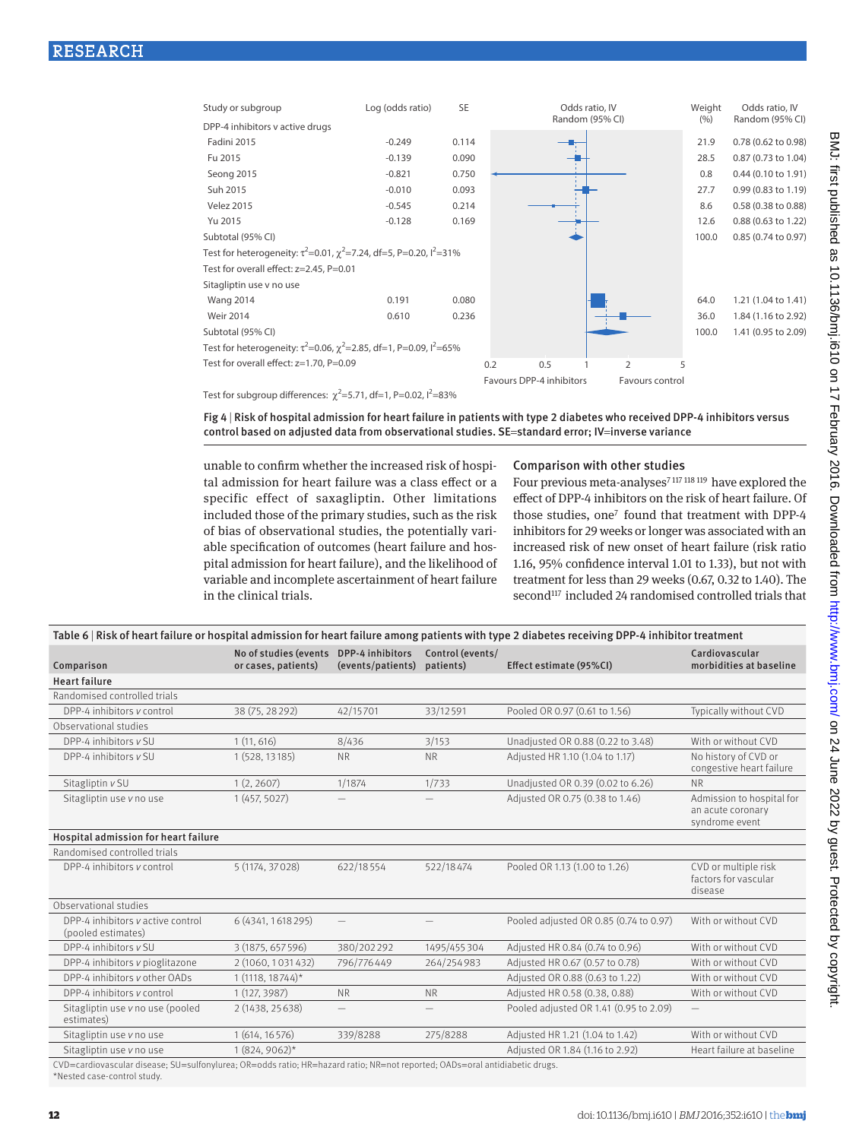

Test for subgroup differences:  $\chi^2$ =5.71, df=1, P=0.02, l<sup>2</sup>=83%

Fig 4 | Risk of hospital admission for heart failure in patients with type 2 diabetes who received DPP-4 inhibitors versus control based on adjusted data from observational studies. SE=standard error; IV=inverse variance

unable to confirm whether the increased risk of hospital admission for heart failure was a class effect or a specific effect of saxagliptin. Other limitations included those of the primary studies, such as the risk of bias of observational studies, the potentially variable specification of outcomes (heart failure and hospital admission for heart failure), and the likelihood of variable and incomplete ascertainment of heart failure in the clinical trials.

#### Comparison with other studies

Four previous meta-analyses<sup>7 117 118 119</sup> have explored the effect of DPP-4 inhibitors on the risk of heart failure. Of those studies, one<sup>7</sup> found that treatment with DPP-4 inhibitors for 29 weeks or longer was associated with an increased risk of new onset of heart failure (risk ratio 1.16, 95% confidence interval 1.01 to 1.33), but not with treatment for less than 29 weeks (0.67, 0.32 to 1.40). The second<sup>117</sup> included 24 randomised controlled trials that

|                                                                                                                             |                                              |                                       |                               | Table 6   Risk of heart failure or hospital admission for heart failure among patients with type 2 diabetes receiving DPP-4 inhibitor treatment |                                                                  |
|-----------------------------------------------------------------------------------------------------------------------------|----------------------------------------------|---------------------------------------|-------------------------------|-------------------------------------------------------------------------------------------------------------------------------------------------|------------------------------------------------------------------|
| Comparison                                                                                                                  | No of studies (events<br>or cases, patients) | DPP-4 inhibitors<br>(events/patients) | Control (events/<br>patients) | Effect estimate (95%CI)                                                                                                                         | Cardiovascular<br>morbidities at baseline                        |
| <b>Heart failure</b>                                                                                                        |                                              |                                       |                               |                                                                                                                                                 |                                                                  |
| Randomised controlled trials                                                                                                |                                              |                                       |                               |                                                                                                                                                 |                                                                  |
| DPP-4 inhibitors v control                                                                                                  | 38 (75, 28 29 2)                             | 42/15701                              | 33/12591                      | Pooled OR 0.97 (0.61 to 1.56)                                                                                                                   | Typically without CVD                                            |
| Observational studies                                                                                                       |                                              |                                       |                               |                                                                                                                                                 |                                                                  |
| DPP-4 inhibitors v SU                                                                                                       | 1(11, 616)                                   | 8/436                                 | 3/153                         | Unadjusted OR 0.88 (0.22 to 3.48)                                                                                                               | With or without CVD                                              |
| DPP-4 inhibitors v SU                                                                                                       | 1 (528, 13185)                               | <b>NR</b>                             | <b>NR</b>                     | Adjusted HR 1.10 (1.04 to 1.17)                                                                                                                 | No history of CVD or<br>congestive heart failure                 |
| Sitagliptin v SU                                                                                                            | 1(2, 2607)                                   | 1/1874                                | 1/733                         | Unadjusted OR 0.39 (0.02 to 6.26)                                                                                                               | <b>NR</b>                                                        |
| Sitagliptin use v no use                                                                                                    | 1(457, 5027)                                 |                                       |                               | Adjusted OR 0.75 (0.38 to 1.46)                                                                                                                 | Admission to hospital for<br>an acute coronary<br>syndrome event |
| Hospital admission for heart failure                                                                                        |                                              |                                       |                               |                                                                                                                                                 |                                                                  |
| Randomised controlled trials                                                                                                |                                              |                                       |                               |                                                                                                                                                 |                                                                  |
| DPP-4 inhibitors v control                                                                                                  | 5 (1174, 37028)                              | 622/18554                             | 522/18474                     | Pooled OR 1.13 (1.00 to 1.26)                                                                                                                   | CVD or multiple risk<br>factors for vascular<br>disease          |
| Observational studies                                                                                                       |                                              |                                       |                               |                                                                                                                                                 |                                                                  |
| DPP-4 inhibitors v active control<br>(pooled estimates)                                                                     | 6 (4341, 1618 295)                           | $\overline{\phantom{0}}$              |                               | Pooled adjusted OR 0.85 (0.74 to 0.97)                                                                                                          | With or without CVD                                              |
| DPP-4 inhibitors v SU                                                                                                       | 3 (1875, 657596)                             | 380/202292                            | 1495/455304                   | Adjusted HR 0.84 (0.74 to 0.96)                                                                                                                 | With or without CVD                                              |
| DPP-4 inhibitors v pioglitazone                                                                                             | 2 (1060, 1031 432)                           | 796/776449                            | 264/254983                    | Adjusted HR 0.67 (0.57 to 0.78)                                                                                                                 | With or without CVD                                              |
| DPP-4 inhibitors v other OADs                                                                                               | $1(1118, 18744)^*$                           |                                       |                               | Adjusted OR 0.88 (0.63 to 1.22)                                                                                                                 | With or without CVD                                              |
| DPP-4 inhibitors v control                                                                                                  | 1 (127, 3987)                                | <b>NR</b>                             | <b>NR</b>                     | Adjusted HR 0.58 (0.38, 0.88)                                                                                                                   | With or without CVD                                              |
| Sitagliptin use v no use (pooled<br>estimates)                                                                              | 2 (1438, 25638)                              |                                       |                               | Pooled adjusted OR 1.41 (0.95 to 2.09)                                                                                                          | $\overline{\phantom{m}}$                                         |
| Sitagliptin use v no use                                                                                                    | 1 (614, 16576)                               | 339/8288                              | 275/8288                      | Adjusted HR 1.21 (1.04 to 1.42)                                                                                                                 | With or without CVD                                              |
| Sitagliptin use v no use                                                                                                    | $1(824.9062)$ *                              |                                       |                               | Adjusted OR 1.84 (1.16 to 2.92)                                                                                                                 | Heart failure at baseline                                        |
| CVD=cardiovascular disease: SU=sulfonylurea: OR=odds ratio: HR=hazard ratio: NR=not reported: OADs=oral antidiabetic drugs. |                                              |                                       |                               |                                                                                                                                                 |                                                                  |

CVD=cardiovascular disease; SU=sulfonylurea; OR=odds ratio; HR=hazard ratio; NR=not reported; OADs=oral antidiabetic drugs. \*Nested case-control study.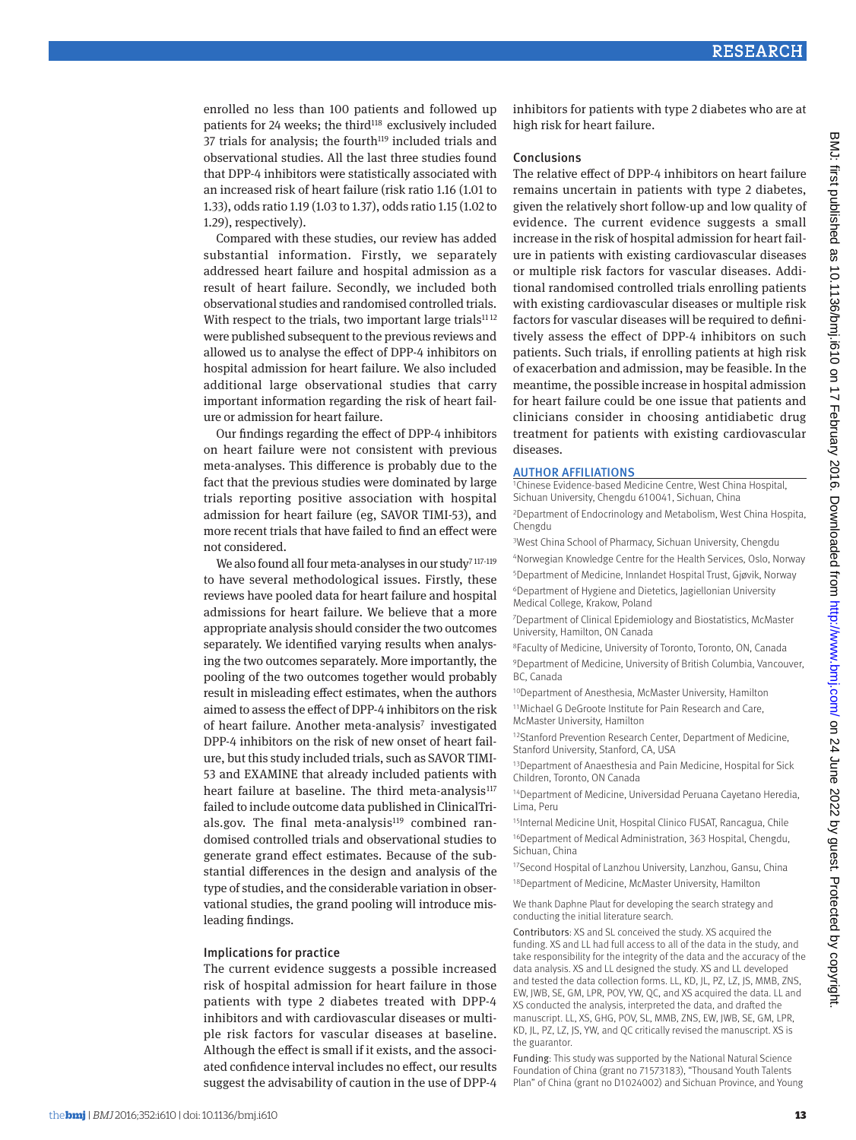enrolled no less than 100 patients and followed up patients for 24 weeks; the third<sup>118</sup> exclusively included 37 trials for analysis; the fourth<sup>119</sup> included trials and observational studies. All the last three studies found that DPP-4 inhibitors were statistically associated with an increased risk of heart failure (risk ratio 1.16 (1.01 to 1.33), odds ratio 1.19 (1.03 to 1.37), odds ratio 1.15 (1.02 to 1.29), respectively).

Compared with these studies, our review has added substantial information. Firstly, we separately addressed heart failure and hospital admission as a result of heart failure. Secondly, we included both observational studies and randomised controlled trials. With respect to the trials, two important large trials<sup>1112</sup> were published subsequent to the previous reviews and allowed us to analyse the effect of DPP-4 inhibitors on hospital admission for heart failure. We also included additional large observational studies that carry important information regarding the risk of heart failure or admission for heart failure.

Our findings regarding the effect of DPP-4 inhibitors on heart failure were not consistent with previous meta-analyses. This difference is probably due to the fact that the previous studies were dominated by large trials reporting positive association with hospital admission for heart failure (eg, SAVOR TIMI-53), and more recent trials that have failed to find an effect were not considered.

We also found all four meta-analyses in our study<sup>7117-119</sup> to have several methodological issues. Firstly, these reviews have pooled data for heart failure and hospital admissions for heart failure. We believe that a more appropriate analysis should consider the two outcomes separately. We identified varying results when analysing the two outcomes separately. More importantly, the pooling of the two outcomes together would probably result in misleading effect estimates, when the authors aimed to assess the effect of DPP-4 inhibitors on the risk of heart failure. Another meta-analysis<sup>7</sup> investigated DPP-4 inhibitors on the risk of new onset of heart failure, but this study included trials, such as SAVOR TIMI-53 and EXAMINE that already included patients with heart failure at baseline. The third meta-analysis<sup>117</sup> failed to include outcome data published in ClinicalTrials.gov. The final meta-analysis $119$  combined randomised controlled trials and observational studies to generate grand effect estimates. Because of the substantial differences in the design and analysis of the type of studies, and the considerable variation in observational studies, the grand pooling will introduce misleading findings.

#### Implications for practice

The current evidence suggests a possible increased risk of hospital admission for heart failure in those patients with type 2 diabetes treated with DPP-4 inhibitors and with cardiovascular diseases or multiple risk factors for vascular diseases at baseline. Although the effect is small if it exists, and the associated confidence interval includes no effect, our results suggest the advisability of caution in the use of DPP-4 inhibitors for patients with type 2 diabetes who are at high risk for heart failure.

#### Conclusions

The relative effect of DPP-4 inhibitors on heart failure remains uncertain in patients with type 2 diabetes, given the relatively short follow-up and low quality of evidence. The current evidence suggests a small increase in the risk of hospital admission for heart failure in patients with existing cardiovascular diseases or multiple risk factors for vascular diseases. Additional randomised controlled trials enrolling patients with existing cardiovascular diseases or multiple risk factors for vascular diseases will be required to definitively assess the effect of DPP-4 inhibitors on such patients. Such trials, if enrolling patients at high risk of exacerbation and admission, may be feasible. In the meantime, the possible increase in hospital admission for heart failure could be one issue that patients and clinicians consider in choosing antidiabetic drug treatment for patients with existing cardiovascular diseases.

#### Author affiliations

1Chinese Evidence-based Medicine Centre, West China Hospital, Sichuan University, Chengdu 610041, Sichuan, China

2Department of Endocrinology and Metabolism, West China Hospita, Chengdu

3West China School of Pharmacy, Sichuan University, Chengdu 4Norwegian Knowledge Centre for the Health Services, Oslo, Norway

5Department of Medicine, Innlandet Hospital Trust, Gjøvik, Norway 6Department of Hygiene and Dietetics, Jagiellonian University Medical College, Krakow, Poland

7 Department of Clinical Epidemiology and Biostatistics, McMaster University, Hamilton, ON Canada

8Faculty of Medicine, University of Toronto, Toronto, ON, Canada

9Department of Medicine, University of British Columbia, Vancouver, BC, Canada

10Department of Anesthesia, McMaster University, Hamilton

11Michael G DeGroote Institute for Pain Research and Care, McMaster University, Hamilton

12Stanford Prevention Research Center, Department of Medicine, Stanford University, Stanford, CA, USA

13Department of Anaesthesia and Pain Medicine, Hospital for Sick Children, Toronto, ON Canada

14Department of Medicine, Universidad Peruana Cayetano Heredia, Lima, Peru

15Internal Medicine Unit, Hospital Clinico FUSAT, Rancagua, Chile 16Department of Medical Administration, 363 Hospital, Chengdu, Sichuan, China

17 Second Hospital of Lanzhou University, Lanzhou, Gansu, China 18Department of Medicine, McMaster University, Hamilton

We thank Daphne Plaut for developing the search strategy and conducting the initial literature search.

Contributors: XS and SL conceived the study. XS acquired the funding. XS and LL had full access to all of the data in the study, and take responsibility for the integrity of the data and the accuracy of the data analysis. XS and LL designed the study. XS and LL developed and tested the data collection forms. LL, KD, JL, PZ, LZ, JS, MMB, ZNS, EW, JWB, SE, GM, LPR, POV, YW, QC, and XS acquired the data. LL and XS conducted the analysis, interpreted the data, and drafted the manuscript. LL, XS, GHG, POV, SL, MMB, ZNS, EW, JWB, SE, GM, LPR, KD, JL, PZ, LZ, JS, YW, and QC critically revised the manuscript. XS is the guarantor.

Funding: This study was supported by the National Natural Science Foundation of China (grant no 71573183), "Thousand Youth Talents Plan" of China (grant no D1024002) and Sichuan Province, and Young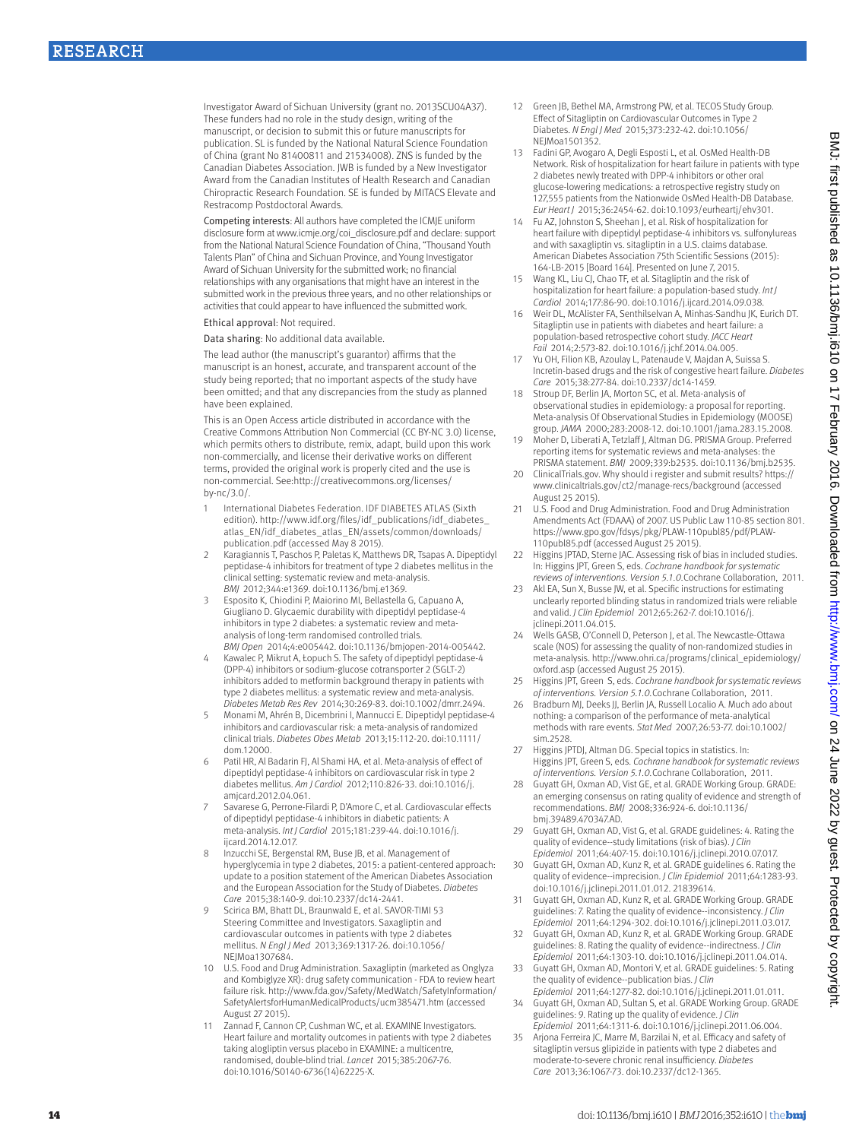Investigator Award of Sichuan University (grant no. 2013SCU04A37). These funders had no role in the study design, writing of the manuscript, or decision to submit this or future manuscripts for publication. SL is funded by the National Natural Science Foundation of China (grant No 81400811 and 21534008). ZNS is funded by the Canadian Diabetes Association. JWB is funded by a New Investigator Award from the Canadian Institutes of Health Research and Canadian Chiropractic Research Foundation. SE is funded by MITACS Elevate and Restracomp Postdoctoral Awards.

Competing interests: All authors have completed the ICMJE uniform disclosure form at www.icmje.org/coi\_disclosure.pdf and declare: support from the National Natural Science Foundation of China, "Thousand Youth Talents Plan" of China and Sichuan Province, and Young Investigator Award of Sichuan University for the submitted work; no financial relationships with any organisations that might have an interest in the submitted work in the previous three years, and no other relationships or activities that could appear to have influenced the submitted work.

#### Ethical approval: Not required.

Data sharing: No additional data available.

The lead author (the manuscript's guarantor) affirms that the manuscript is an honest, accurate, and transparent account of the study being reported; that no important aspects of the study have been omitted; and that any discrepancies from the study as planned have been explained.

This is an Open Access article distributed in accordance with the Creative Commons Attribution Non Commercial (CC BY-NC 3.0) license, which permits others to distribute, remix, adapt, build upon this work non-commercially, and license their derivative works on different terms, provided the original work is properly cited and the use is non-commercial. See:http://creativecommons.org/licenses/ by-nc/3.0/.

- 1 International Diabetes Federation. IDF DIABETES ATLAS (Sixth edition). http://www.idf.org/files/idf\_publications/idf\_diabetes\_ atlas\_EN/idf\_diabetes\_atlas\_EN/assets/common/downloads/ publication.pdf (accessed May 8 2015).
- 2 Karagiannis T, Paschos P, Paletas K, Matthews DR, Tsapas A. Dipeptidyl peptidase-4 inhibitors for treatment of type 2 diabetes mellitus in the clinical setting: systematic review and meta-analysis. *BMJ* 2012;344:e1369. doi:10.1136/bmj.e1369.
- 3 Esposito K, Chiodini P, Maiorino MI, Bellastella G, Capuano A, Giugliano D. Glycaemic durability with dipeptidyl peptidase-4 inhibitors in type 2 diabetes: a systematic review and metaanalysis of long-term randomised controlled trials. *BMJ Open* 2014;4:e005442. doi:10.1136/bmjopen-2014-005442.
- 4 Kawalec P, Mikrut A, Łopuch S. The safety of dipeptidyl peptidase-4 (DPP-4) inhibitors or sodium-glucose cotransporter 2 (SGLT-2) inhibitors added to metformin background therapy in patients with type 2 diabetes mellitus: a systematic review and meta-analysis. *Diabetes Metab Res Rev* 2014;30:269-83. doi:10.1002/dmrr.2494.
- 5 Monami M, Ahrén B, Dicembrini I, Mannucci E. Dipeptidyl peptidase-4 inhibitors and cardiovascular risk: a meta-analysis of randomized clinical trials. *Diabetes Obes Metab* 2013;15:112-20. doi:10.1111/ dom.12000.
- 6 Patil HR, Al Badarin FJ, Al Shami HA, et al. Meta-analysis of effect of dipeptidyl peptidase-4 inhibitors on cardiovascular risk in type 2 diabetes mellitus. *Am J Cardiol* 2012;110:826-33. doi:10.1016/j. amjcard.2012.04.061.
- 7 Savarese G, Perrone-Filardi P, D'Amore C, et al. Cardiovascular effects of dipeptidyl peptidase-4 inhibitors in diabetic patients: A meta-analysis. *Int J Cardiol* 2015;181:239-44. doi:10.1016/j. iicard.2014.12.017
- 8 Inzucchi SE, Bergenstal RM, Buse JB, et al. Management of hyperglycemia in type 2 diabetes, 2015: a patient-centered approach: update to a position statement of the American Diabetes Association and the European Association for the Study of Diabetes. *Diabetes Care* 2015;38:140-9. doi:10.2337/dc14-2441.
- 9 Scirica BM, Bhatt DL, Braunwald E, et al. SAVOR-TIMI 53 Steering Committee and Investigators. Saxagliptin and cardiovascular outcomes in patients with type 2 diabetes mellitus. *N Engl J Med* 2013;369:1317-26. doi:10.1056/ NEJMoa1307684.
- 10 U.S. Food and Drug Administration. Saxagliptin (marketed as Onglyza and Kombiglyze XR): drug safety communication - FDA to review heart failure risk. http://www.fda.gov/Safety/MedWatch/SafetyInformation/ SafetyAlertsforHumanMedicalProducts/ucm385471.htm (accessed August 27 2015).
- Zannad F, Cannon CP, Cushman WC, et al. EXAMINE Investigators Heart failure and mortality outcomes in patients with type 2 diabetes taking alogliptin versus placebo in EXAMINE: a multicentre, randomised, double-blind trial. *Lancet* 2015;385:2067-76. doi:10.1016/S0140-6736(14)62225-X.
- 12 Green JB, Bethel MA, Armstrong PW, et al. TECOS Study Group. Effect of Sitagliptin on Cardiovascular Outcomes in Type 2 Diabetes. *N Engl J Med* 2015;373:232-42. doi:10.1056/ NEJMoa1501352.
- 13 Fadini GP, Avogaro A, Degli Esposti L, et al. OsMed Health-DB Network. Risk of hospitalization for heart failure in patients with type 2 diabetes newly treated with DPP-4 inhibitors or other oral glucose-lowering medications: a retrospective registry study on 127,555 patients from the Nationwide OsMed Health-DB Database. *Eur Heart J* 2015;36:2454-62. doi:10.1093/eurheartj/ehv301.
- 14 Fu AZ, Johnston S, Sheehan J, et al. Risk of hospitalization for heart failure with dipeptidyl peptidase-4 inhibitors vs. sulfonylureas and with saxagliptin vs. sitagliptin in a U.S. claims database. American Diabetes Association 75th Scientific Sessions (2015): 164-LB-2015 [Board 164]. Presented on June 7, 2015.
- 15 Wang KL, Liu CJ, Chao TF, et al. Sitagliptin and the risk of hospitalization for heart failure: a population-based study. *Int J Cardiol* 2014;177:86-90. doi:10.1016/j.ijcard.2014.09.038.
- 16 Weir DL, McAlister FA, Senthilselvan A, Minhas-Sandhu JK, Eurich DT. Sitagliptin use in patients with diabetes and heart failure: a population-based retrospective cohort study. *JACC Heart Fail* 2014;2:573-82. doi:10.1016/j.jchf.2014.04.005.
- 17 Yu OH, Filion KB, Azoulay L, Patenaude V, Majdan A, Suissa S. Incretin-based drugs and the risk of congestive heart failure. *Diabetes Care* 2015;38:277-84. doi:10.2337/dc14-1459.
- 18 Stroup DF, Berlin JA, Morton SC, et al. Meta-analysis of observational studies in epidemiology: a proposal for reporting. Meta-analysis Of Observational Studies in Epidemiology (MOOSE) group. *JAMA* 2000;283:2008-12. doi:10.1001/jama.283.15.2008.
- 19 Moher D, Liberati A, Tetzlaff J, Altman DG. PRISMA Group. Preferred reporting items for systematic reviews and meta-analyses: the PRISMA statement. *BMJ* 2009;339:b2535. doi:10.1136/bmj.b2535.
- 20 ClinicalTrials.gov. Why should i register and submit results? https:// www.clinicaltrials.gov/ct2/manage-recs/background (accessed August 25 2015).
- 21 U.S. Food and Drug Administration. Food and Drug Administration Amendments Act (FDAAA) of 2007. US Public Law 110-85 section 801. https://www.gpo.gov/fdsys/pkg/PLAW-110publ85/pdf/PLAW-110publ85.pdf (accessed August 25 2015).
- 22 Higgins JPTAD, Sterne JAC. Assessing risk of bias in included studies. In: Higgins JPT, Green S, eds. *Cochrane handbook for systematic reviews of interventions. Version 5.1.0.*Cochrane Collaboration, 2011.
- 23 Akl EA, Sun X, Busse JW, et al. Specific instructions for estimating unclearly reported blinding status in randomized trials were reliable and valid. *J Clin Epidemiol* 2012;65:262-7. doi:10.1016/j. jclinepi.2011.04.015.
- 24 Wells GASB, O'Connell D, Peterson J, et al. The Newcastle-Ottawa scale (NOS) for assessing the quality of non-randomized studies in meta-analysis. http://www.ohri.ca/programs/clinical\_epidemiology/ oxford.asp (accessed August 25 2015).
- 25 Higgins JPT, Green S, eds. *Cochrane handbook for systematic reviews of interventions. Version 5.1.0.*Cochrane Collaboration, 2011.
- 26 Bradburn MJ, Deeks JJ, Berlin JA, Russell Localio A. Much ado about nothing: a comparison of the performance of meta-analytical methods with rare events. *Stat Med* 2007;26:53-77. doi:10.1002/ sim.2528.
- 27 Higgins JPTDJ, Altman DG. Special topics in statistics. In: Higgins JPT, Green S, eds. *Cochrane handbook for systematic reviews of interventions. Version 5.1.0.*Cochrane Collaboration, 2011.
- 28 Guyatt GH, Oxman AD, Vist GE, et al. GRADE Working Group. GRADE: an emerging consensus on rating quality of evidence and strength of recommendations. *BMJ* 2008;336:924-6. doi:10.1136/ bmj.39489.470347.AD.
- 29 Guyatt GH, Oxman AD, Vist G, et al. GRADE guidelines: 4. Rating the quality of evidence--study limitations (risk of bias). *J Clin Epidemiol* 2011;64:407-15. doi:10.1016/j.jclinepi.2010.07.017.
- 30 Guyatt GH, Oxman AD, Kunz R, et al. GRADE guidelines 6. Rating the quality of evidence--imprecision. *J Clin Epidemiol* 2011;64:1283-93. doi:10.1016/j.jclinepi.2011.01.012. 21839614.
- 31 Guyatt GH, Oxman AD, Kunz R, et al. GRADE Working Group. GRADE guidelines: 7. Rating the quality of evidence--inconsistency. *J Clin Epidemiol* 2011;64:1294-302. doi:10.1016/j.jclinepi.2011.03.017.
- 32 Guyatt GH, Oxman AD, Kunz R, et al. GRADE Working Group. GRADE guidelines: 8. Rating the quality of evidence--indirectness. *J Clin Epidemiol* 2011;64:1303-10. doi:10.1016/j.jclinepi.2011.04.014.
- Guyatt GH, Oxman AD, Montori V, et al. GRADE guidelines: 5. Rating the quality of evidence--publication bias. *J Clin Epidemiol* 2011;64:1277-82. doi:10.1016/j.jclinepi.2011.01.011.
- Guyatt GH, Oxman AD, Sultan S, et al. GRADE Working Group. GRADE guidelines: 9. Rating up the quality of evidence. *J Clin Epidemiol* 2011;64:1311-6. doi:10.1016/j.jclinepi.2011.06.004.
- 35 Arjona Ferreira JC, Marre M, Barzilai N, et al. Efficacy and safety of sitagliptin versus glipizide in patients with type 2 diabetes and moderate-to-severe chronic renal insufficiency. *Diabetes Care* 2013;36:1067-73. doi:10.2337/dc12-1365.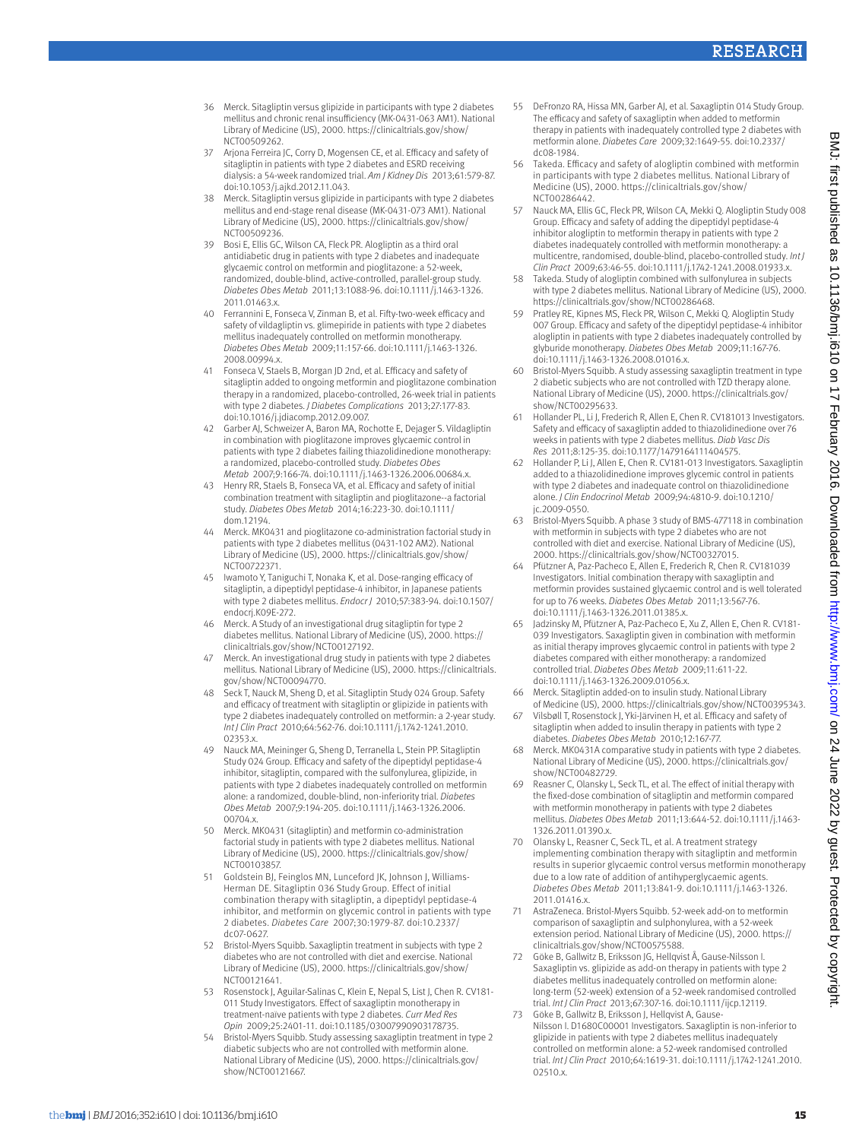- 36 Merck. Sitagliptin versus glipizide in participants with type 2 diabetes mellitus and chronic renal insufficiency (MK-0431-063 AM1). National Library of Medicine (US), 2000. https://clinicaltrials.gov/show/ NCT00509262
- 37 Arjona Ferreira JC, Corry D, Mogensen CE, et al. Efficacy and safety of sitagliptin in patients with type 2 diabetes and ESRD receiving dialysis: a 54-week randomized trial. *Am J Kidney Dis* 2013;61:579-87. doi:10.1053/j.ajkd.2012.11.043.
- 38 Merck. Sitagliptin versus glipizide in participants with type 2 diabetes mellitus and end-stage renal disease (MK-0431-073 AM1). National Library of Medicine (US), 2000. https://clinicaltrials.gov/show/ NCT00509236.
- 39 Bosi E, Ellis GC, Wilson CA, Fleck PR. Alogliptin as a third oral antidiabetic drug in patients with type 2 diabetes and inadequate glycaemic control on metformin and pioglitazone: a 52-week, randomized, double-blind, active-controlled, parallel-group study. *Diabetes Obes Metab* 2011;13:1088-96. doi:10.1111/j.1463-1326. 2011.01463.x.
- 40 Ferrannini E, Fonseca V, Zinman B, et al. Fifty-two-week efficacy and safety of vildagliptin vs. glimepiride in patients with type 2 diabetes mellitus inadequately controlled on metformin monotherapy. *Diabetes Obes Metab* 2009;11:157-66. doi:10.1111/j.1463-1326. 2008.00994.x.
- 41 Fonseca V, Staels B, Morgan JD 2nd, et al. Efficacy and safety of sitagliptin added to ongoing metformin and pioglitazone combination therapy in a randomized, placebo-controlled, 26-week trial in patients with type 2 diabetes. *J Diabetes Complications* 2013;27:177-83. doi:10.1016/j.jdiacomp.2012.09.007.
- 42 Garber AJ, Schweizer A, Baron MA, Rochotte E, Dejager S. Vildagliptin in combination with pioglitazone improves glycaemic control in patients with type 2 diabetes failing thiazolidinedione monotherapy: a randomized, placebo-controlled study. *Diabetes Obes Metab* 2007;9:166-74. doi:10.1111/j.1463-1326.2006.00684.x.
- 43 Henry RR, Staels B, Fonseca VA, et al. Efficacy and safety of initial combination treatment with sitagliptin and pioglitazone--a factorial study. *Diabetes Obes Metab* 2014;16:223-30. doi:10.1111/ dom.12194.
- 44 Merck. MK0431 and pioglitazone co-administration factorial study in patients with type 2 diabetes mellitus (0431-102 AM2). National Library of Medicine (US), 2000. https://clinicaltrials.gov/show/ NCT00722371.
- 45 Iwamoto Y, Taniguchi T, Nonaka K, et al. Dose-ranging efficacy of sitagliptin, a dipeptidyl peptidase-4 inhibitor, in Japanese patients with type 2 diabetes mellitus. *Endocr J* 2010;57:383-94. doi:10.1507/ endocrj.K09E-272.
- 46 Merck. A Study of an investigational drug sitagliptin for type 2 diabetes mellitus. National Library of Medicine (US), 2000. https:// clinicaltrials.gov/show/NCT00127192.
- 47 Merck. An investigational drug study in patients with type 2 diabetes mellitus. National Library of Medicine (US), 2000. https://clinicaltrials. gov/show/NCT00094770.
- 48 Seck T, Nauck M, Sheng D, et al. Sitagliptin Study 024 Group. Safety and efficacy of treatment with sitagliptin or glipizide in patients with type 2 diabetes inadequately controlled on metformin: a 2-year study. *Int J Clin Pract* 2010;64:562-76. doi:10.1111/j.1742-1241.2010. 02353.x.
- 49 Nauck MA, Meininger G, Sheng D, Terranella L, Stein PP. Sitagliptin Study 024 Group. Efficacy and safety of the dipeptidyl peptidase-4 inhibitor, sitagliptin, compared with the sulfonylurea, glipizide, in patients with type 2 diabetes inadequately controlled on metformin alone: a randomized, double-blind, non-inferiority trial. *Diabetes Obes Metab* 2007;9:194-205. doi:10.1111/j.1463-1326.2006. 00704.x.
- 50 Merck. MK0431 (sitagliptin) and metformin co-administration factorial study in patients with type 2 diabetes mellitus. National Library of Medicine (US), 2000. https://clinicaltrials.gov/show/ NCT00103857.
- Goldstein BJ, Feinglos MN, Lunceford JK, Johnson J, Williams-Herman DE. Sitagliptin 036 Study Group. Effect of initial combination therapy with sitagliptin, a dipeptidyl peptidase-4 inhibitor, and metformin on glycemic control in patients with type 2 diabetes. *Diabetes Care* 2007;30:1979-87. doi:10.2337/ dc07-0627.
- 52 Bristol-Myers Squibb. Saxagliptin treatment in subjects with type 2 diabetes who are not controlled with diet and exercise. National Library of Medicine (US), 2000. https://clinicaltrials.gov/show/ NCT00121641.
- 53 Rosenstock J, Aguilar-Salinas C, Klein E, Nepal S, List J, Chen R. CV181- 011 Study Investigators. Effect of saxagliptin monotherapy in treatment-naïve patients with type 2 diabetes. *Curr Med Res Opin* 2009;25:2401-11. doi:10.1185/03007990903178735.
- Bristol-Myers Squibb. Study assessing saxagliptin treatment in type 2 diabetic subjects who are not controlled with metformin alone. National Library of Medicine (US), 2000. https://clinicaltrials.gov/ show/NCT00121667.
- 55 DeFronzo RA, Hissa MN, Garber AJ, et al. Saxagliptin 014 Study Group. The efficacy and safety of saxagliptin when added to metformin therapy in patients with inadequately controlled type 2 diabetes with metformin alone. *Diabetes Care* 2009;32:1649-55. doi:10.2337/ dc08-1984.
- 56 Takeda. Efficacy and safety of alogliptin combined with metformin in participants with type 2 diabetes mellitus. National Library of Medicine (US), 2000. https://clinicaltrials.gov/show/ NCT00286442.
- 57 Nauck MA, Ellis GC, Fleck PR, Wilson CA, Mekki Q. Alogliptin Study 008 Group. Efficacy and safety of adding the dipeptidyl peptidase-4 inhibitor alogliptin to metformin therapy in patients with type 2 diabetes inadequately controlled with metformin monotherapy: a multicentre, randomised, double-blind, placebo-controlled study. *Int J Clin Pract* 2009;63:46-55. doi:10.1111/j.1742-1241.2008.01933.x.
- 58 Takeda. Study of alogliptin combined with sulfonylurea in subjects with type 2 diabetes mellitus. National Library of Medicine (US), 2000. https://clinicaltrials.gov/show/NCT00286468.
- 59 Pratley RE, Kipnes MS, Fleck PR, Wilson C, Mekki Q. Alogliptin Study 007 Group. Efficacy and safety of the dipeptidyl peptidase-4 inhibitor alogliptin in patients with type 2 diabetes inadequately controlled by glyburide monotherapy. *Diabetes Obes Metab* 2009;11:167-76. doi:10.1111/j.1463-1326.2008.01016.x.
- 60 Bristol-Myers Squibb. A study assessing saxagliptin treatment in type 2 diabetic subjects who are not controlled with TZD therapy alone. National Library of Medicine (US), 2000. https://clinicaltrials.gov/ show/NCT00295633.
- Hollander PL, Li J, Frederich R, Allen E, Chen R. CV181013 Investigators. Safety and efficacy of saxagliptin added to thiazolidinedione over 76 weeks in patients with type 2 diabetes mellitus. *Diab Vasc Dis Res* 2011;8:125-35. doi:10.1177/1479164111404575.
- Hollander P, Li J, Allen E, Chen R. CV181-013 Investigators. Saxagliptin added to a thiazolidinedione improves glycemic control in patients with type 2 diabetes and inadequate control on thiazolidinedione alone. *J Clin Endocrinol Metab* 2009;94:4810-9. doi:10.1210/ jc.2009-0550.
- 63 Bristol-Myers Squibb. A phase 3 study of BMS-477118 in combination with metformin in subjects with type 2 diabetes who are not controlled with diet and exercise. National Library of Medicine (US), 2000. https://clinicaltrials.gov/show/NCT00327015.
- Pfützner A, Paz-Pacheco E, Allen E, Frederich R, Chen R. CV181039 Investigators. Initial combination therapy with saxagliptin and metformin provides sustained glycaemic control and is well tolerated for up to 76 weeks. *Diabetes Obes Metab* 2011;13:567-76. doi:10.1111/j.1463-1326.2011.01385.x.
- 65 Jadzinsky M, Pfützner A, Paz-Pacheco E, Xu Z, Allen E, Chen R. CV181- 039 Investigators. Saxagliptin given in combination with metformin as initial therapy improves glycaemic control in patients with type 2 diabetes compared with either monotherapy: a randomized controlled trial. *Diabetes Obes Metab* 2009;11:611-22. doi:10.1111/j.1463-1326.2009.01056.x.
- 66 Merck. Sitagliptin added-on to insulin study. National Library of Medicine (US), 2000. https://clinicaltrials.gov/show/NCT00395343.
- 67 Vilsbøll T, Rosenstock J, Yki-Järvinen H, et al. Efficacy and safety of sitagliptin when added to insulin therapy in patients with type 2 diabetes. *Diabetes Obes Metab* 2010;12:167-77.
- 68 Merck. MK0431A comparative study in patients with type 2 diabetes. National Library of Medicine (US), 2000. https://clinicaltrials.gov/ show/NCT00482729.
- 69 Reasner C, Olansky L, Seck TL, et al. The effect of initial therapy with the fixed-dose combination of sitagliptin and metformin compared with metformin monotherapy in patients with type 2 diabetes mellitus. *Diabetes Obes Metab* 2011;13:644-52. doi:10.1111/j.1463- 1326.2011.01390.x.
- Olansky L, Reasner C, Seck TL, et al. A treatment strategy implementing combination therapy with sitagliptin and metformin results in superior glycaemic control versus metformin monotherapy due to a low rate of addition of antihyperglycaemic agents. *Diabetes Obes Metab* 2011;13:841-9. doi:10.1111/j.1463-1326. 2011.01416.x.
- 71 AstraZeneca. Bristol-Myers Squibb. 52-week add-on to metformin comparison of saxagliptin and sulphonylurea, with a 52-week extension period. National Library of Medicine (US), 2000. https:// clinicaltrials.gov/show/NCT00575588.
- 72 Göke B, Gallwitz B, Eriksson JG, Hellqvist Å, Gause-Nilsson I. Saxagliptin vs. glipizide as add-on therapy in patients with type 2 diabetes mellitus inadequately controlled on metformin alone: long-term (52-week) extension of a 52-week randomised controlled trial. *Int J Clin Pract* 2013;67:307-16. doi:10.1111/ijcp.12119.
- 73 Göke B, Gallwitz B, Eriksson J, Hellqvist A, Gause-Nilsson I. D1680C00001 Investigators. Saxagliptin is non-inferior to glipizide in patients with type 2 diabetes mellitus inadequately controlled on metformin alone: a 52-week randomised controlled trial. *Int J Clin Pract* 2010;64:1619-31. doi:10.1111/j.1742-1241.2010. 02510.x.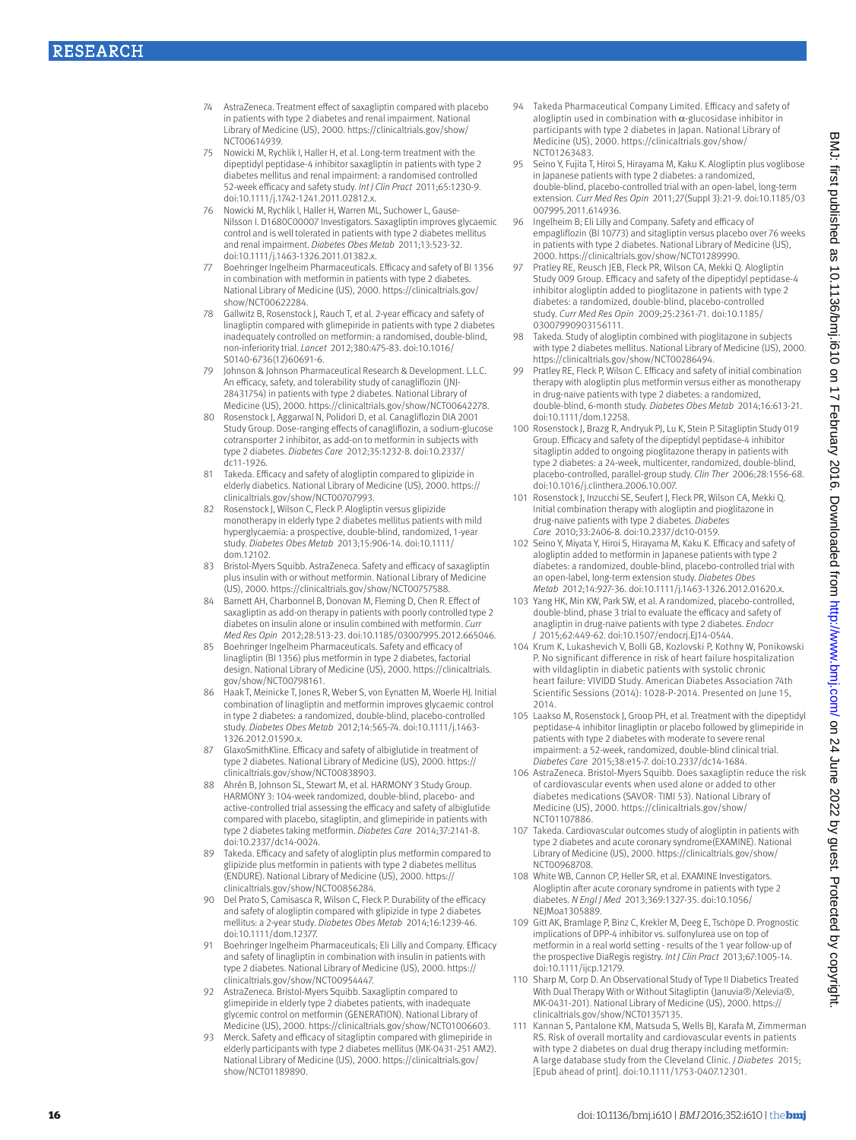- 74 AstraZeneca. Treatment effect of saxagliptin compared with placebo in patients with type 2 diabetes and renal impairment. National Library of Medicine (US), 2000. https://clinicaltrials.gov/show/ NCT00614939.
- 75 Nowicki M, Rychlik I, Haller H, et al. Long-term treatment with the dipeptidyl peptidase-4 inhibitor saxagliptin in patients with type 2 diabetes mellitus and renal impairment: a randomised controlled 52-week efficacy and safety study. *Int J Clin Pract* 2011;65:1230-9. doi:10.1111/j.1742-1241.2011.02812.x.
- 76 Nowicki M, Rychlik I, Haller H, Warren ML, Suchower L, Gause-Nilsson I. D1680C00007 Investigators. Saxagliptin improves glycaemic control and is well tolerated in patients with type 2 diabetes mellitus and renal impairment. *Diabetes Obes Metab* 2011;13:523-32. doi:10.1111/j.1463-1326.2011.01382.x.
- 77 Boehringer Ingelheim Pharmaceuticals. Efficacy and safety of BI 1356 in combination with metformin in patients with type 2 diabetes. National Library of Medicine (US), 2000. https://clinicaltrials.gov/ show/NCT00622284.
- 78 Gallwitz B, Rosenstock J, Rauch T, et al. 2-year efficacy and safety of linagliptin compared with glimepiride in patients with type 2 diabetes inadequately controlled on metformin: a randomised, double-blind, non-inferiority trial. *Lancet* 2012;380:475-83. doi:10.1016/ S0140-6736(12)60691-6.
- Johnson & Johnson Pharmaceutical Research & Development. L.L.C. An efficacy, safety, and tolerability study of canagliflozin (JNJ-28431754) in patients with type 2 diabetes. National Library of Medicine (US), 2000. https://clinicaltrials.gov/show/NCT00642278.
- 80 Rosenstock J, Aggarwal N, Polidori D, et al. Canagliflozin DIA 2001 Study Group. Dose-ranging effects of canagliflozin, a sodium-glucose cotransporter 2 inhibitor, as add-on to metformin in subjects with type 2 diabetes. *Diabetes Care* 2012;35:1232-8. doi:10.2337/ dc11-1926.
- 81 Takeda. Efficacy and safety of alogliptin compared to glipizide in elderly diabetics. National Library of Medicine (US), 2000. https:// clinicaltrials.gov/show/NCT00707993.
- Rosenstock J, Wilson C, Fleck P. Alogliptin versus glipizide monotherapy in elderly type 2 diabetes mellitus patients with mild hyperglycaemia: a prospective, double-blind, randomized, 1-year study. *Diabetes Obes Metab* 2013;15:906-14. doi:10.1111/ dom.12102.
- Bristol-Myers Squibb. AstraZeneca. Safety and efficacy of saxagliptin plus insulin with or without metformin. National Library of Medicine (US), 2000. https://clinicaltrials.gov/show/NCT00757588.
- Barnett AH, Charbonnel B, Donovan M, Fleming D, Chen R. Effect of saxagliptin as add-on therapy in patients with poorly controlled type 2 diabetes on insulin alone or insulin combined with metformin. *Curr Med Res Opin* 2012;28:513-23. doi:10.1185/03007995.2012.665046.
- 85 Boehringer Ingelheim Pharmaceuticals. Safety and efficacy of linagliptin (BI 1356) plus metformin in type 2 diabetes, factorial design. National Library of Medicine (US), 2000. https://clinicaltrials. gov/show/NCT00798161.
- 86 Haak T, Meinicke T, Jones R, Weber S, von Eynatten M, Woerle HJ. Initial combination of linagliptin and metformin improves glycaemic control in type 2 diabetes: a randomized, double-blind, placebo-controlled study. *Diabetes Obes Metab* 2012;14:565-74. doi:10.1111/j.1463- 1326.2012.01590.x.
- 87 GlaxoSmithKline. Efficacy and safety of albiglutide in treatment of type 2 diabetes. National Library of Medicine (US), 2000. https:// clinicaltrials.gov/show/NCT00838903.
- 88 Ahrén B, Johnson SL, Stewart M, et al. HARMONY 3 Study Group. HARMONY 3: 104-week randomized, double-blind, placebo- and active-controlled trial assessing the efficacy and safety of albiglutide compared with placebo, sitagliptin, and glimepiride in patients with type 2 diabetes taking metformin. *Diabetes Care* 2014;37:2141-8. doi:10.2337/dc14-0024.
- 89 Takeda. Efficacy and safety of alogliptin plus metformin compared to glipizide plus metformin in patients with type 2 diabetes mellitus (ENDURE). National Library of Medicine (US), 2000. https:// clinicaltrials.gov/show/NCT00856284.
- 90 Del Prato S, Camisasca R, Wilson C, Fleck P. Durability of the efficacy and safety of alogliptin compared with glipizide in type 2 diabetes mellitus: a 2-year study. *Diabetes Obes Metab* 2014;16:1239-46. doi:10.1111/dom.12377.
- 91 Boehringer Ingelheim Pharmaceuticals; Eli Lilly and Company. Efficacy and safety of linagliptin in combination with insulin in patients with type 2 diabetes. National Library of Medicine (US), 2000. https:// clinicaltrials.gov/show/NCT00954447.
- 92 AstraZeneca. Bristol-Myers Squibb. Saxagliptin compared to glimepiride in elderly type 2 diabetes patients, with inadequate glycemic control on metformin (GENERATION). National Library of Medicine (US), 2000. https://clinicaltrials.gov/show/NCT01006603.
- Merck. Safety and efficacy of sitagliptin compared with glimepiride in elderly participants with type 2 diabetes mellitus (MK-0431-251 AM2). National Library of Medicine (US), 2000. https://clinicaltrials.gov/ show/NCT01189890.
- 94 Takeda Pharmaceutical Company Limited. Efficacy and safety of alogliptin used in combination with  $\alpha$ -glucosidase inhibitor in participants with type 2 diabetes in Japan. National Library of Medicine (US), 2000. https://clinicaltrials.gov/show/ NCT01263483.
- 95 Seino Y, Fujita T, Hiroi S, Hirayama M, Kaku K. Alogliptin plus voglibose in Japanese patients with type 2 diabetes: a randomized, double-blind, placebo-controlled trial with an open-label, long-term extension. *Curr Med Res Opin* 2011;27(Suppl 3):21-9. doi:10.1185/03 007995.2011.614936.
- 96 Ingelheim B; Eli Lilly and Company. Safety and efficacy of empagliflozin (BI 10773) and sitagliptin versus placebo over 76 weeks in patients with type 2 diabetes. National Library of Medicine (US), 2000. https://clinicaltrials.gov/show/NCT01289990.
- 97 Pratley RE, Reusch JEB, Fleck PR, Wilson CA, Mekki Q. Alogliptin Study 009 Group. Efficacy and safety of the dipeptidyl peptidase-4 inhibitor alogliptin added to pioglitazone in patients with type 2 diabetes: a randomized, double-blind, placebo-controlled study. *Curr Med Res Opin* 2009;25:2361-71. doi:10.1185/ 03007990903156111.
- 98 Takeda. Study of alogliptin combined with pioglitazone in subjects with type 2 diabetes mellitus. National Library of Medicine (US), 2000. https://clinicaltrials.gov/show/NCT00286494.
- 99 Pratley RE, Fleck P, Wilson C. Efficacy and safety of initial combination therapy with alogliptin plus metformin versus either as monotherapy in drug-naïve patients with type 2 diabetes: a randomized, double-blind, 6-month study. *Diabetes Obes Metab* 2014;16:613-21. doi:10.1111/dom.12258.
- 100 Rosenstock J, Brazg R, Andryuk PJ, Lu K, Stein P. Sitagliptin Study 019 Group. Efficacy and safety of the dipeptidyl peptidase-4 inhibitor sitagliptin added to ongoing pioglitazone therapy in patients with type 2 diabetes: a 24-week, multicenter, randomized, double-blind, placebo-controlled, parallel-group study. *Clin Ther* 2006;28:1556-68. doi:10.1016/j.clinthera.2006.10.007.
- 101 Rosenstock J, Inzucchi SE, Seufert J, Fleck PR, Wilson CA, Mekki Q. Initial combination therapy with alogliptin and pioglitazone in drug-naïve patients with type 2 diabetes. *Diabetes Care* 2010;33:2406-8. doi:10.2337/dc10-0159.
- 102 Seino Y, Miyata Y, Hiroi S, Hirayama M, Kaku K. Efficacy and safety of alogliptin added to metformin in Japanese patients with type 2 diabetes: a randomized, double-blind, placebo-controlled trial with an open-label, long-term extension study. *Diabetes Obes Metab* 2012;14:927-36. doi:10.1111/j.1463-1326.2012.01620.x.
- 103 Yang HK, Min KW, Park SW, et al. A randomized, placebo-controlled, double-blind, phase 3 trial to evaluate the efficacy and safety of anagliptin in drug-naïve patients with type 2 diabetes. *Endocr J* 2015;62:449-62. doi:10.1507/endocrj.EJ14-0544.
- 104 Krum K, Lukashevich V, Bolli GB, Kozlovski P, Kothny W, Ponikowski P. No significant difference in risk of heart failure hospitalization with vildagliptin in diabetic patients with systolic chronic heart failure: VIVIDD Study. American Diabetes Association 74th Scientific Sessions (2014): 1028-P-2014. Presented on June 15, 2014.
- 105 Laakso M, Rosenstock J, Groop PH, et al. Treatment with the dipeptidyl peptidase-4 inhibitor linagliptin or placebo followed by glimepiride in patients with type 2 diabetes with moderate to severe renal impairment: a 52-week, randomized, double-blind clinical trial. *Diabetes Care* 2015;38:e15-7. doi:10.2337/dc14-1684.
- 106 AstraZeneca. Bristol-Myers Squibb. Does saxagliptin reduce the risk of cardiovascular events when used alone or added to other diabetes medications (SAVOR- TIMI 53). National Library of Medicine (US), 2000. https://clinicaltrials.gov/show/ NCT01107886.
- 107 Takeda. Cardiovascular outcomes study of alogliptin in patients with type 2 diabetes and acute coronary syndrome(EXAMINE). National Library of Medicine (US), 2000. https://clinicaltrials.gov/show/ NCT00968708.
- 108 White WB, Cannon CP, Heller SR, et al. EXAMINE Investigators. Alogliptin after acute coronary syndrome in patients with type 2 diabetes. *N Engl J Med* 2013;369:1327-35. doi:10.1056/ NEJMoa1305889.
- 109 Gitt AK, Bramlage P, Binz C, Krekler M, Deeg E, Tschöpe D. Prognostic implications of DPP-4 inhibitor vs. sulfonylurea use on top of metformin in a real world setting - results of the 1 year follow-up of the prospective DiaRegis registry. Int J Clin Pract 2013;67:1005-14. doi:10.1111/ijcp.12179.
- 110 Sharp M, Corp D. An Observational Study of Type II Diabetics Treated With Dual Therapy With or Without Sitagliptin (Januvia®/Xelevia®, MK-0431-201). National Library of Medicine (US), 2000. https:// clinicaltrials.gov/show/NCT01357135.
- 111 Kannan S, Pantalone KM, Matsuda S, Wells BJ, Karafa M, Zimmerman RS. Risk of overall mortality and cardiovascular events in patients with type 2 diabetes on dual drug therapy including metformin: A large database study from the Cleveland Clinic. *J Diabetes* 2015; [Epub ahead of print]. doi:10.1111/1753-0407.12301.